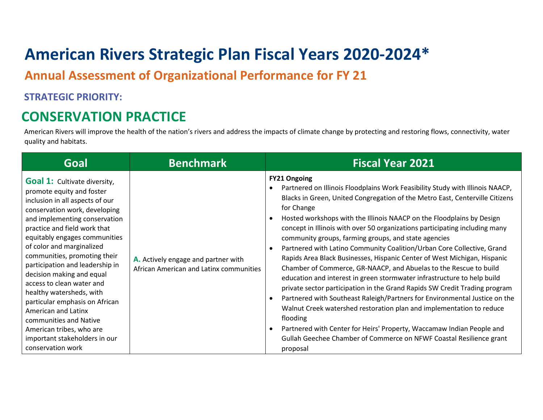# **American Rivers Strategic Plan Fiscal Years 2020-2024\***

**Annual Assessment of Organizational Performance for FY 21**

#### **STRATEGIC PRIORITY:**

### **CONSERVATION PRACTICE**

American Rivers will improve the health of the nation's rivers and address the impacts of climate change by protecting and restoring flows, connectivity, water quality and habitats.

| Goal                                                                                                                                                                                                                                                                                                                                                                                                                                                                                                                                                                                              | <b>Benchmark</b>                                                               | <b>Fiscal Year 2021</b>                                                                                                                                                                                                                                                                                                                                                                                                                                                                                                                                                                                                                                                                                                                                                                                                                                                                                                                                                                                                                                                                                                                                                     |
|---------------------------------------------------------------------------------------------------------------------------------------------------------------------------------------------------------------------------------------------------------------------------------------------------------------------------------------------------------------------------------------------------------------------------------------------------------------------------------------------------------------------------------------------------------------------------------------------------|--------------------------------------------------------------------------------|-----------------------------------------------------------------------------------------------------------------------------------------------------------------------------------------------------------------------------------------------------------------------------------------------------------------------------------------------------------------------------------------------------------------------------------------------------------------------------------------------------------------------------------------------------------------------------------------------------------------------------------------------------------------------------------------------------------------------------------------------------------------------------------------------------------------------------------------------------------------------------------------------------------------------------------------------------------------------------------------------------------------------------------------------------------------------------------------------------------------------------------------------------------------------------|
| <b>Goal 1:</b> Cultivate diversity,<br>promote equity and foster<br>inclusion in all aspects of our<br>conservation work, developing<br>and implementing conservation<br>practice and field work that<br>equitably engages communities<br>of color and marginalized<br>communities, promoting their<br>participation and leadership in<br>decision making and equal<br>access to clean water and<br>healthy watersheds, with<br>particular emphasis on African<br>American and Latinx<br>communities and Native<br>American tribes, who are<br>important stakeholders in our<br>conservation work | A. Actively engage and partner with<br>African American and Latinx communities | <b>FY21 Ongoing</b><br>Partnered on Illinois Floodplains Work Feasibility Study with Illinois NAACP,<br>Blacks in Green, United Congregation of the Metro East, Centerville Citizens<br>for Change<br>Hosted workshops with the Illinois NAACP on the Floodplains by Design<br>$\bullet$<br>concept in Illinois with over 50 organizations participating including many<br>community groups, farming groups, and state agencies<br>Partnered with Latino Community Coalition/Urban Core Collective, Grand<br>$\bullet$<br>Rapids Area Black Businesses, Hispanic Center of West Michigan, Hispanic<br>Chamber of Commerce, GR-NAACP, and Abuelas to the Rescue to build<br>education and interest in green stormwater infrastructure to help build<br>private sector participation in the Grand Rapids SW Credit Trading program<br>Partnered with Southeast Raleigh/Partners for Environmental Justice on the<br>$\bullet$<br>Walnut Creek watershed restoration plan and implementation to reduce<br>flooding<br>Partnered with Center for Heirs' Property, Waccamaw Indian People and<br>Gullah Geechee Chamber of Commerce on NFWF Coastal Resilience grant<br>proposal |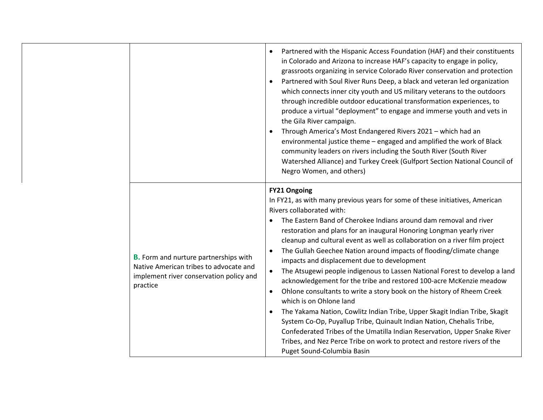|                                                                                                                                               | Partnered with the Hispanic Access Foundation (HAF) and their constituents<br>$\bullet$<br>in Colorado and Arizona to increase HAF's capacity to engage in policy,<br>grassroots organizing in service Colorado River conservation and protection<br>Partnered with Soul River Runs Deep, a black and veteran led organization<br>which connects inner city youth and US military veterans to the outdoors<br>through incredible outdoor educational transformation experiences, to<br>produce a virtual "deployment" to engage and immerse youth and vets in<br>the Gila River campaign.<br>Through America's Most Endangered Rivers 2021 - which had an<br>environmental justice theme - engaged and amplified the work of Black<br>community leaders on rivers including the South River (South River<br>Watershed Alliance) and Turkey Creek (Gulfport Section National Council of<br>Negro Women, and others)                                                                                                                                                                                                   |
|-----------------------------------------------------------------------------------------------------------------------------------------------|----------------------------------------------------------------------------------------------------------------------------------------------------------------------------------------------------------------------------------------------------------------------------------------------------------------------------------------------------------------------------------------------------------------------------------------------------------------------------------------------------------------------------------------------------------------------------------------------------------------------------------------------------------------------------------------------------------------------------------------------------------------------------------------------------------------------------------------------------------------------------------------------------------------------------------------------------------------------------------------------------------------------------------------------------------------------------------------------------------------------|
| <b>B.</b> Form and nurture partnerships with<br>Native American tribes to advocate and<br>implement river conservation policy and<br>practice | <b>FY21 Ongoing</b><br>In FY21, as with many previous years for some of these initiatives, American<br>Rivers collaborated with:<br>The Eastern Band of Cherokee Indians around dam removal and river<br>restoration and plans for an inaugural Honoring Longman yearly river<br>cleanup and cultural event as well as collaboration on a river film project<br>The Gullah Geechee Nation around impacts of flooding/climate change<br>impacts and displacement due to development<br>The Atsugewi people indigenous to Lassen National Forest to develop a land<br>$\bullet$<br>acknowledgement for the tribe and restored 100-acre McKenzie meadow<br>Ohlone consultants to write a story book on the history of Rheem Creek<br>$\bullet$<br>which is on Ohlone land<br>The Yakama Nation, Cowlitz Indian Tribe, Upper Skagit Indian Tribe, Skagit<br>System Co-Op, Puyallup Tribe, Quinault Indian Nation, Chehalis Tribe,<br>Confederated Tribes of the Umatilla Indian Reservation, Upper Snake River<br>Tribes, and Nez Perce Tribe on work to protect and restore rivers of the<br>Puget Sound-Columbia Basin |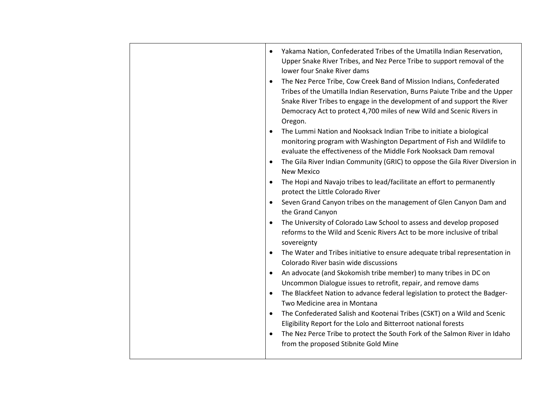• Yakama Nation, Confederated Tribes of the Umatilla Indian Reservation, Upper Snake River Tribes, and Nez Perce Tribe to support removal of the lower four Snake River dams • The Nez Perce Tribe, Cow Creek Band of Mission Indians, Confederated Tribes of the Umatilla Indian Reservation, Burns Paiute Tribe and the Upper Snake River Tribes to engage in the development of and support the River Democracy Act to protect 4,700 miles of new Wild and Scenic Rivers in Oregon. • The Lummi Nation and Nooksack Indian Tribe to initiate a biological monitoring program with Washington Department of Fish and Wildlife to evaluate the effectiveness of the Middle Fork Nooksack Dam removal • The Gila River Indian Community (GRIC) to oppose the Gila River Diversion in New Mexico • The Hopi and Navajo tribes to lead/facilitate an effort to permanently protect the Little Colorado River • Seven Grand Canyon tribes on the management of Glen Canyon Dam and the Grand Canyon • The University of Colorado Law School to assess and develop proposed reforms to the Wild and Scenic Rivers Act to be more inclusive of tribal sovereignty • The Water and Tribes initiative to ensure adequate tribal representation in Colorado River basin wide discussions • An advocate (and Skokomish tribe member) to many tribes in DC on Uncommon Dialogue issues to retrofit, repair, and remove dams • The Blackfeet Nation to advance federal legislation to protect the Badger-Two Medicine area in Montana • The Confederated Salish and Kootenai Tribes (CSKT) on a Wild and Scenic Eligibility Report for the Lolo and Bitterroot national forests • The Nez Perce Tribe to protect the South Fork of the Salmon River in Idaho from the proposed Stibnite Gold Mine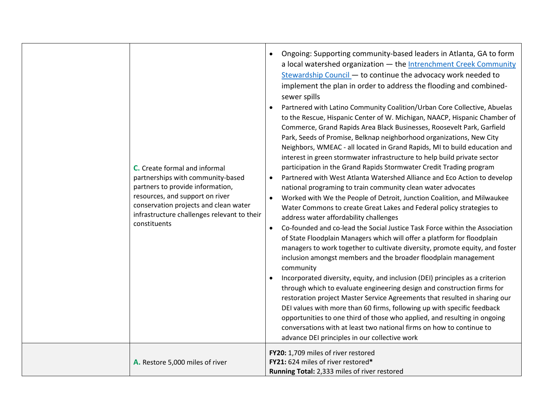| C. Create formal and informal<br>partnerships with community-based<br>partners to provide information,<br>resources, and support on river<br>conservation projects and clean water<br>infrastructure challenges relevant to their<br>constituents | Ongoing: Supporting community-based leaders in Atlanta, GA to form<br>$\bullet$<br>a local watershed organization - the Intrenchment Creek Community<br>Stewardship Council - to continue the advocacy work needed to<br>implement the plan in order to address the flooding and combined-<br>sewer spills<br>Partnered with Latino Community Coalition/Urban Core Collective, Abuelas<br>to the Rescue, Hispanic Center of W. Michigan, NAACP, Hispanic Chamber of<br>Commerce, Grand Rapids Area Black Businesses, Roosevelt Park, Garfield<br>Park, Seeds of Promise, Belknap neighborhood organizations, New City<br>Neighbors, WMEAC - all located in Grand Rapids, MI to build education and<br>interest in green stormwater infrastructure to help build private sector<br>participation in the Grand Rapids Stormwater Credit Trading program<br>Partnered with West Atlanta Watershed Alliance and Eco Action to develop<br>$\bullet$<br>national programing to train community clean water advocates<br>Worked with We the People of Detroit, Junction Coalition, and Milwaukee<br>$\bullet$<br>Water Commons to create Great Lakes and Federal policy strategies to<br>address water affordability challenges<br>Co-founded and co-lead the Social Justice Task Force within the Association<br>$\bullet$<br>of State Floodplain Managers which will offer a platform for floodplain<br>managers to work together to cultivate diversity, promote equity, and foster<br>inclusion amongst members and the broader floodplain management<br>community<br>Incorporated diversity, equity, and inclusion (DEI) principles as a criterion<br>through which to evaluate engineering design and construction firms for<br>restoration project Master Service Agreements that resulted in sharing our<br>DEI values with more than 60 firms, following up with specific feedback<br>opportunities to one third of those who applied, and resulting in ongoing<br>conversations with at least two national firms on how to continue to<br>advance DEI principles in our collective work |
|---------------------------------------------------------------------------------------------------------------------------------------------------------------------------------------------------------------------------------------------------|--------------------------------------------------------------------------------------------------------------------------------------------------------------------------------------------------------------------------------------------------------------------------------------------------------------------------------------------------------------------------------------------------------------------------------------------------------------------------------------------------------------------------------------------------------------------------------------------------------------------------------------------------------------------------------------------------------------------------------------------------------------------------------------------------------------------------------------------------------------------------------------------------------------------------------------------------------------------------------------------------------------------------------------------------------------------------------------------------------------------------------------------------------------------------------------------------------------------------------------------------------------------------------------------------------------------------------------------------------------------------------------------------------------------------------------------------------------------------------------------------------------------------------------------------------------------------------------------------------------------------------------------------------------------------------------------------------------------------------------------------------------------------------------------------------------------------------------------------------------------------------------------------------------------------------------------------------------------------------------------------------------------------------------------------------------------------------------------|
| A. Restore 5,000 miles of river                                                                                                                                                                                                                   | FY20: 1,709 miles of river restored<br>FY21: 624 miles of river restored*<br>Running Total: 2,333 miles of river restored                                                                                                                                                                                                                                                                                                                                                                                                                                                                                                                                                                                                                                                                                                                                                                                                                                                                                                                                                                                                                                                                                                                                                                                                                                                                                                                                                                                                                                                                                                                                                                                                                                                                                                                                                                                                                                                                                                                                                                  |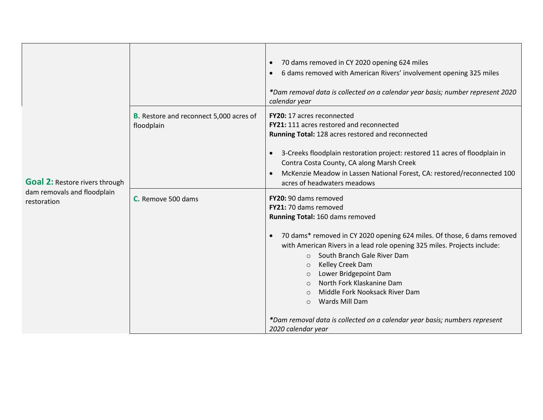| <b>Goal 2: Restore rivers through</b>      |                                                              | 70 dams removed in CY 2020 opening 624 miles<br>$\bullet$<br>6 dams removed with American Rivers' involvement opening 325 miles<br>*Dam removal data is collected on a calendar year basis; number represent 2020<br>calendar year                                                                                                                                                                                                                                                                                                              |
|--------------------------------------------|--------------------------------------------------------------|-------------------------------------------------------------------------------------------------------------------------------------------------------------------------------------------------------------------------------------------------------------------------------------------------------------------------------------------------------------------------------------------------------------------------------------------------------------------------------------------------------------------------------------------------|
|                                            | <b>B.</b> Restore and reconnect 5,000 acres of<br>floodplain | FY20: 17 acres reconnected<br>FY21: 111 acres restored and reconnected<br>Running Total: 128 acres restored and reconnected<br>3-Creeks floodplain restoration project: restored 11 acres of floodplain in<br>Contra Costa County, CA along Marsh Creek<br>McKenzie Meadow in Lassen National Forest, CA: restored/reconnected 100<br>acres of headwaters meadows                                                                                                                                                                               |
| dam removals and floodplain<br>restoration | C. Remove 500 dams                                           | FY20: 90 dams removed<br>FY21: 70 dams removed<br>Running Total: 160 dams removed<br>70 dams* removed in CY 2020 opening 624 miles. Of those, 6 dams removed<br>with American Rivers in a lead role opening 325 miles. Projects include:<br>○ South Branch Gale River Dam<br>Kelley Creek Dam<br>$\circ$<br>Lower Bridgepoint Dam<br>$\circ$<br>North Fork Klaskanine Dam<br>$\circ$<br>Middle Fork Nooksack River Dam<br>$\bigcirc$<br>Wards Mill Dam<br>$\circ$<br>*Dam removal data is collected on a calendar year basis; numbers represent |
|                                            |                                                              | 2020 calendar year                                                                                                                                                                                                                                                                                                                                                                                                                                                                                                                              |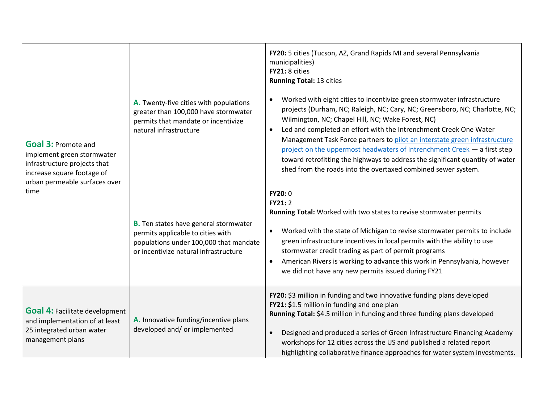| <b>Goal 3: Promote and</b><br>implement green stormwater<br>infrastructure projects that<br>increase square footage of   | A. Twenty-five cities with populations<br>greater than 100,000 have stormwater<br>permits that mandate or incentivize<br>natural infrastructure                      | FY20: 5 cities (Tucson, AZ, Grand Rapids MI and several Pennsylvania<br>municipalities)<br>FY21: 8 cities<br><b>Running Total: 13 cities</b><br>Worked with eight cities to incentivize green stormwater infrastructure<br>$\bullet$<br>projects (Durham, NC; Raleigh, NC; Cary, NC; Greensboro, NC; Charlotte, NC;<br>Wilmington, NC; Chapel Hill, NC; Wake Forest, NC)<br>Led and completed an effort with the Intrenchment Creek One Water<br>Management Task Force partners to pilot an interstate green infrastructure<br>project on the uppermost headwaters of Intrenchment Creek - a first step<br>toward retrofitting the highways to address the significant quantity of water<br>shed from the roads into the overtaxed combined sewer system. |
|--------------------------------------------------------------------------------------------------------------------------|----------------------------------------------------------------------------------------------------------------------------------------------------------------------|-----------------------------------------------------------------------------------------------------------------------------------------------------------------------------------------------------------------------------------------------------------------------------------------------------------------------------------------------------------------------------------------------------------------------------------------------------------------------------------------------------------------------------------------------------------------------------------------------------------------------------------------------------------------------------------------------------------------------------------------------------------|
| urban permeable surfaces over<br>time                                                                                    | <b>B.</b> Ten states have general stormwater<br>permits applicable to cities with<br>populations under 100,000 that mandate<br>or incentivize natural infrastructure | FY20:0<br>FY21:2<br>Running Total: Worked with two states to revise stormwater permits<br>Worked with the state of Michigan to revise stormwater permits to include<br>$\bullet$<br>green infrastructure incentives in local permits with the ability to use<br>stormwater credit trading as part of permit programs<br>American Rivers is working to advance this work in Pennsylvania, however<br>$\bullet$<br>we did not have any new permits issued during FY21                                                                                                                                                                                                                                                                                       |
| <b>Goal 4: Facilitate development</b><br>and implementation of at least<br>25 integrated urban water<br>management plans | A. Innovative funding/incentive plans<br>developed and/ or implemented                                                                                               | FY20: \$3 million in funding and two innovative funding plans developed<br>FY21: \$1.5 million in funding and one plan<br>Running Total: \$4.5 million in funding and three funding plans developed<br>Designed and produced a series of Green Infrastructure Financing Academy<br>$\bullet$<br>workshops for 12 cities across the US and published a related report<br>highlighting collaborative finance approaches for water system investments.                                                                                                                                                                                                                                                                                                       |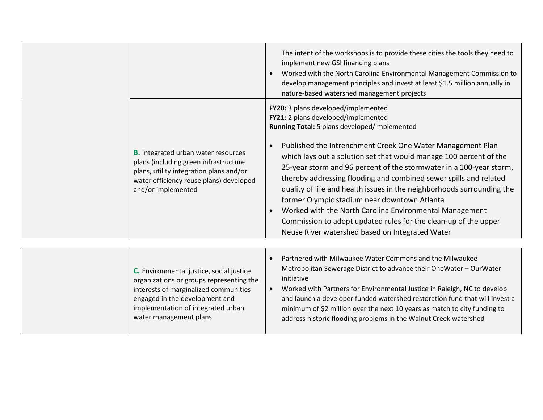|                                                                                                                                                                                                                                 | The intent of the workshops is to provide these cities the tools they need to<br>implement new GSI financing plans<br>Worked with the North Carolina Environmental Management Commission to<br>$\bullet$<br>develop management principles and invest at least \$1.5 million annually in<br>nature-based watershed management projects                                                                                                                                                                                                                                                                                                                                                                                                           |
|---------------------------------------------------------------------------------------------------------------------------------------------------------------------------------------------------------------------------------|-------------------------------------------------------------------------------------------------------------------------------------------------------------------------------------------------------------------------------------------------------------------------------------------------------------------------------------------------------------------------------------------------------------------------------------------------------------------------------------------------------------------------------------------------------------------------------------------------------------------------------------------------------------------------------------------------------------------------------------------------|
| <b>B.</b> Integrated urban water resources<br>plans (including green infrastructure<br>plans, utility integration plans and/or<br>water efficiency reuse plans) developed<br>and/or implemented                                 | FY20: 3 plans developed/implemented<br>FY21: 2 plans developed/implemented<br>Running Total: 5 plans developed/implemented<br>Published the Intrenchment Creek One Water Management Plan<br>$\bullet$<br>which lays out a solution set that would manage 100 percent of the<br>25-year storm and 96 percent of the stormwater in a 100-year storm,<br>thereby addressing flooding and combined sewer spills and related<br>quality of life and health issues in the neighborhoods surrounding the<br>former Olympic stadium near downtown Atlanta<br>Worked with the North Carolina Environmental Management<br>$\bullet$<br>Commission to adopt updated rules for the clean-up of the upper<br>Neuse River watershed based on Integrated Water |
|                                                                                                                                                                                                                                 |                                                                                                                                                                                                                                                                                                                                                                                                                                                                                                                                                                                                                                                                                                                                                 |
| C. Environmental justice, social justice<br>organizations or groups representing the<br>interests of marginalized communities<br>engaged in the development and<br>implementation of integrated urban<br>water management plans | Partnered with Milwaukee Water Commons and the Milwaukee<br>$\bullet$<br>Metropolitan Sewerage District to advance their OneWater - OurWater<br>initiative<br>Worked with Partners for Environmental Justice in Raleigh, NC to develop<br>and launch a developer funded watershed restoration fund that will invest a<br>minimum of \$2 million over the next 10 years as match to city funding to<br>address historic flooding problems in the Walnut Creek watershed                                                                                                                                                                                                                                                                          |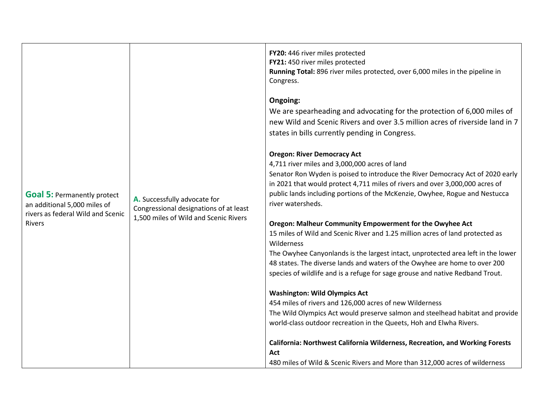| <b>Goal 5: Permanently protect</b><br>an additional 5,000 miles of<br>rivers as federal Wild and Scenic<br><b>Rivers</b> | A. Successfully advocate for<br>Congressional designations of at least<br>1,500 miles of Wild and Scenic Rivers | FY20: 446 river miles protected<br>FY21: 450 river miles protected<br>Running Total: 896 river miles protected, over 6,000 miles in the pipeline in<br>Congress.<br>Ongoing:<br>We are spearheading and advocating for the protection of 6,000 miles of<br>new Wild and Scenic Rivers and over 3.5 million acres of riverside land in 7<br>states in bills currently pending in Congress.<br><b>Oregon: River Democracy Act</b><br>4,711 river miles and 3,000,000 acres of land<br>Senator Ron Wyden is poised to introduce the River Democracy Act of 2020 early<br>in 2021 that would protect 4,711 miles of rivers and over 3,000,000 acres of<br>public lands including portions of the McKenzie, Owyhee, Rogue and Nestucca<br>river watersheds.<br>Oregon: Malheur Community Empowerment for the Owyhee Act<br>15 miles of Wild and Scenic River and 1.25 million acres of land protected as<br>Wilderness<br>The Owyhee Canyonlands is the largest intact, unprotected area left in the lower<br>48 states. The diverse lands and waters of the Owyhee are home to over 200<br>species of wildlife and is a refuge for sage grouse and native Redband Trout.<br><b>Washington: Wild Olympics Act</b><br>454 miles of rivers and 126,000 acres of new Wilderness<br>The Wild Olympics Act would preserve salmon and steelhead habitat and provide<br>world-class outdoor recreation in the Queets, Hoh and Elwha Rivers. |
|--------------------------------------------------------------------------------------------------------------------------|-----------------------------------------------------------------------------------------------------------------|---------------------------------------------------------------------------------------------------------------------------------------------------------------------------------------------------------------------------------------------------------------------------------------------------------------------------------------------------------------------------------------------------------------------------------------------------------------------------------------------------------------------------------------------------------------------------------------------------------------------------------------------------------------------------------------------------------------------------------------------------------------------------------------------------------------------------------------------------------------------------------------------------------------------------------------------------------------------------------------------------------------------------------------------------------------------------------------------------------------------------------------------------------------------------------------------------------------------------------------------------------------------------------------------------------------------------------------------------------------------------------------------------------------------------------|
|                                                                                                                          |                                                                                                                 |                                                                                                                                                                                                                                                                                                                                                                                                                                                                                                                                                                                                                                                                                                                                                                                                                                                                                                                                                                                                                                                                                                                                                                                                                                                                                                                                                                                                                                 |
|                                                                                                                          |                                                                                                                 | California: Northwest California Wilderness, Recreation, and Working Forests<br>Act                                                                                                                                                                                                                                                                                                                                                                                                                                                                                                                                                                                                                                                                                                                                                                                                                                                                                                                                                                                                                                                                                                                                                                                                                                                                                                                                             |
|                                                                                                                          |                                                                                                                 | 480 miles of Wild & Scenic Rivers and More than 312,000 acres of wilderness                                                                                                                                                                                                                                                                                                                                                                                                                                                                                                                                                                                                                                                                                                                                                                                                                                                                                                                                                                                                                                                                                                                                                                                                                                                                                                                                                     |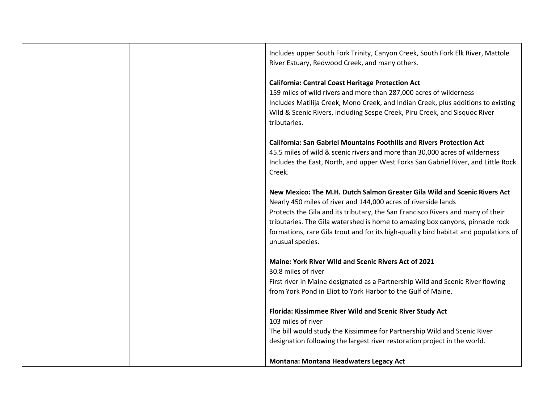|  | Includes upper South Fork Trinity, Canyon Creek, South Fork Elk River, Mattole<br>River Estuary, Redwood Creek, and many others.                                                                                                                                                                                                                                                                                            |
|--|-----------------------------------------------------------------------------------------------------------------------------------------------------------------------------------------------------------------------------------------------------------------------------------------------------------------------------------------------------------------------------------------------------------------------------|
|  | <b>California: Central Coast Heritage Protection Act</b><br>159 miles of wild rivers and more than 287,000 acres of wilderness<br>Includes Matilija Creek, Mono Creek, and Indian Creek, plus additions to existing<br>Wild & Scenic Rivers, including Sespe Creek, Piru Creek, and Sisquoc River<br>tributaries.                                                                                                           |
|  | <b>California: San Gabriel Mountains Foothills and Rivers Protection Act</b><br>45.5 miles of wild & scenic rivers and more than 30,000 acres of wilderness<br>Includes the East, North, and upper West Forks San Gabriel River, and Little Rock<br>Creek.                                                                                                                                                                  |
|  | New Mexico: The M.H. Dutch Salmon Greater Gila Wild and Scenic Rivers Act<br>Nearly 450 miles of river and 144,000 acres of riverside lands<br>Protects the Gila and its tributary, the San Francisco Rivers and many of their<br>tributaries. The Gila watershed is home to amazing box canyons, pinnacle rock<br>formations, rare Gila trout and for its high-quality bird habitat and populations of<br>unusual species. |
|  | Maine: York River Wild and Scenic Rivers Act of 2021<br>30.8 miles of river<br>First river in Maine designated as a Partnership Wild and Scenic River flowing<br>from York Pond in Eliot to York Harbor to the Gulf of Maine.                                                                                                                                                                                               |
|  | Florida: Kissimmee River Wild and Scenic River Study Act<br>103 miles of river<br>The bill would study the Kissimmee for Partnership Wild and Scenic River<br>designation following the largest river restoration project in the world.                                                                                                                                                                                     |
|  | <b>Montana: Montana Headwaters Legacy Act</b>                                                                                                                                                                                                                                                                                                                                                                               |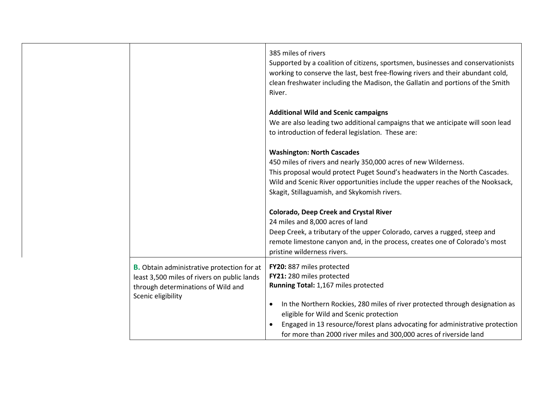|                                                                                                                                                              | 385 miles of rivers<br>Supported by a coalition of citizens, sportsmen, businesses and conservationists<br>working to conserve the last, best free-flowing rivers and their abundant cold,<br>clean freshwater including the Madison, the Gallatin and portions of the Smith<br>River.                                                                                                                    |
|--------------------------------------------------------------------------------------------------------------------------------------------------------------|-----------------------------------------------------------------------------------------------------------------------------------------------------------------------------------------------------------------------------------------------------------------------------------------------------------------------------------------------------------------------------------------------------------|
|                                                                                                                                                              | <b>Additional Wild and Scenic campaigns</b><br>We are also leading two additional campaigns that we anticipate will soon lead<br>to introduction of federal legislation. These are:                                                                                                                                                                                                                       |
|                                                                                                                                                              | <b>Washington: North Cascades</b><br>450 miles of rivers and nearly 350,000 acres of new Wilderness.<br>This proposal would protect Puget Sound's headwaters in the North Cascades.<br>Wild and Scenic River opportunities include the upper reaches of the Nooksack,<br>Skagit, Stillaguamish, and Skykomish rivers.                                                                                     |
|                                                                                                                                                              | <b>Colorado, Deep Creek and Crystal River</b><br>24 miles and 8,000 acres of land<br>Deep Creek, a tributary of the upper Colorado, carves a rugged, steep and<br>remote limestone canyon and, in the process, creates one of Colorado's most<br>pristine wilderness rivers.                                                                                                                              |
| <b>B.</b> Obtain administrative protection for at<br>least 3,500 miles of rivers on public lands<br>through determinations of Wild and<br>Scenic eligibility | FY20: 887 miles protected<br>FY21: 280 miles protected<br>Running Total: 1,167 miles protected<br>In the Northern Rockies, 280 miles of river protected through designation as<br>$\bullet$<br>eligible for Wild and Scenic protection<br>Engaged in 13 resource/forest plans advocating for administrative protection<br>$\bullet$<br>for more than 2000 river miles and 300,000 acres of riverside land |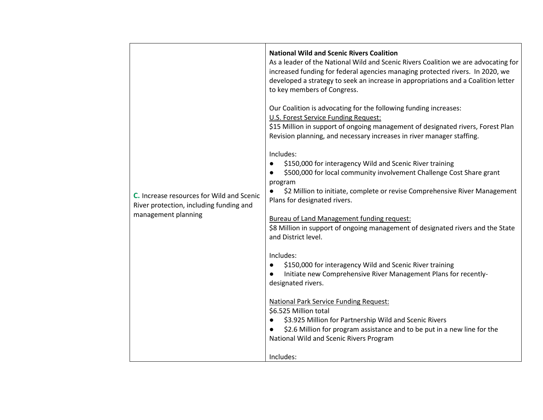|                                                                | <b>National Wild and Scenic Rivers Coalition</b><br>As a leader of the National Wild and Scenic Rivers Coalition we are advocating for<br>increased funding for federal agencies managing protected rivers. In 2020, we<br>developed a strategy to seek an increase in appropriations and a Coalition letter<br>to key members of Congress. |
|----------------------------------------------------------------|---------------------------------------------------------------------------------------------------------------------------------------------------------------------------------------------------------------------------------------------------------------------------------------------------------------------------------------------|
|                                                                | Our Coalition is advocating for the following funding increases:<br><b>U.S. Forest Service Funding Request:</b><br>\$15 Million in support of ongoing management of designated rivers, Forest Plan                                                                                                                                          |
|                                                                | Revision planning, and necessary increases in river manager staffing.<br>Includes:<br>\$150,000 for interagency Wild and Scenic River training                                                                                                                                                                                              |
| <b>C.</b> Increase resources for Wild and Scenic               | \$500,000 for local community involvement Challenge Cost Share grant<br>program<br>\$2 Million to initiate, complete or revise Comprehensive River Management<br>Plans for designated rivers.                                                                                                                                               |
| River protection, including funding and<br>management planning | <b>Bureau of Land Management funding request:</b><br>\$8 Million in support of ongoing management of designated rivers and the State<br>and District level.                                                                                                                                                                                 |
|                                                                | Includes:<br>\$150,000 for interagency Wild and Scenic River training<br>$\bullet$<br>Initiate new Comprehensive River Management Plans for recently-<br>designated rivers.                                                                                                                                                                 |
|                                                                | <b>National Park Service Funding Request:</b><br>\$6.525 Million total<br>\$3.925 Million for Partnership Wild and Scenic Rivers<br>\$2.6 Million for program assistance and to be put in a new line for the<br>National Wild and Scenic Rivers Program                                                                                     |
|                                                                | Includes:                                                                                                                                                                                                                                                                                                                                   |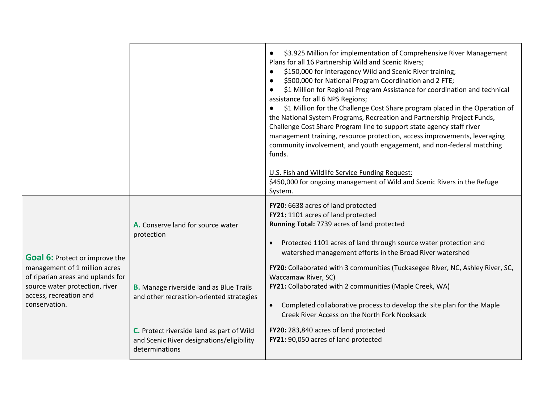|                                                                                                                                                 |                                                                                                          | \$3.925 Million for implementation of Comprehensive River Management<br>$\bullet$<br>Plans for all 16 Partnership Wild and Scenic Rivers;<br>\$150,000 for interagency Wild and Scenic River training;<br>$\bullet$<br>\$500,000 for National Program Coordination and 2 FTE;<br>$\bullet$<br>\$1 Million for Regional Program Assistance for coordination and technical<br>$\bullet$<br>assistance for all 6 NPS Regions;<br>\$1 Million for the Challenge Cost Share program placed in the Operation of<br>the National System Programs, Recreation and Partnership Project Funds,<br>Challenge Cost Share Program line to support state agency staff river<br>management training, resource protection, access improvements, leveraging<br>community involvement, and youth engagement, and non-federal matching<br>funds.<br>U.S. Fish and Wildlife Service Funding Request:<br>\$450,000 for ongoing management of Wild and Scenic Rivers in the Refuge<br>System. |
|-------------------------------------------------------------------------------------------------------------------------------------------------|----------------------------------------------------------------------------------------------------------|-------------------------------------------------------------------------------------------------------------------------------------------------------------------------------------------------------------------------------------------------------------------------------------------------------------------------------------------------------------------------------------------------------------------------------------------------------------------------------------------------------------------------------------------------------------------------------------------------------------------------------------------------------------------------------------------------------------------------------------------------------------------------------------------------------------------------------------------------------------------------------------------------------------------------------------------------------------------------|
| <b>Goal 6: Protect or improve the</b>                                                                                                           | A. Conserve land for source water<br>protection                                                          | FY20: 6638 acres of land protected<br>FY21: 1101 acres of land protected<br>Running Total: 7739 acres of land protected<br>Protected 1101 acres of land through source water protection and<br>$\bullet$<br>watershed management efforts in the Broad River watershed                                                                                                                                                                                                                                                                                                                                                                                                                                                                                                                                                                                                                                                                                                   |
| management of 1 million acres<br>of riparian areas and uplands for<br>source water protection, river<br>access, recreation and<br>conservation. | <b>B.</b> Manage riverside land as Blue Trails<br>and other recreation-oriented strategies               | FY20: Collaborated with 3 communities (Tuckasegee River, NC, Ashley River, SC,<br>Waccamaw River, SC)<br>FY21: Collaborated with 2 communities (Maple Creek, WA)<br>Completed collaborative process to develop the site plan for the Maple<br>Creek River Access on the North Fork Nooksack                                                                                                                                                                                                                                                                                                                                                                                                                                                                                                                                                                                                                                                                             |
|                                                                                                                                                 | C. Protect riverside land as part of Wild<br>and Scenic River designations/eligibility<br>determinations | FY20: 283,840 acres of land protected<br>FY21: 90,050 acres of land protected                                                                                                                                                                                                                                                                                                                                                                                                                                                                                                                                                                                                                                                                                                                                                                                                                                                                                           |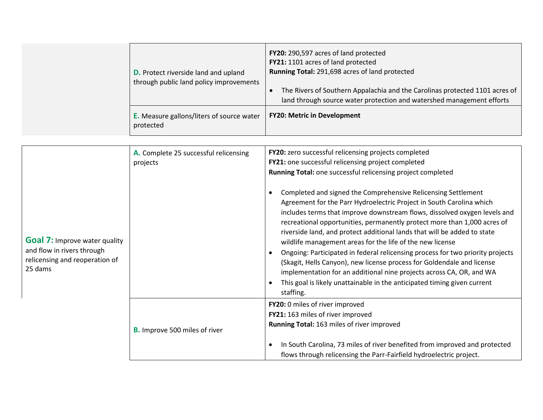| <b>D.</b> Protect riverside land and upland<br>through public land policy improvements | FY20: 290,597 acres of land protected<br>FY21: 1101 acres of land protected<br>Running Total: 291,698 acres of land protected<br>The Rivers of Southern Appalachia and the Carolinas protected 1101 acres of<br>land through source water protection and watershed management efforts |
|----------------------------------------------------------------------------------------|---------------------------------------------------------------------------------------------------------------------------------------------------------------------------------------------------------------------------------------------------------------------------------------|
| <b>E.</b> Measure gallons/liters of source water<br>protected                          | <b>FY20: Metric in Development</b>                                                                                                                                                                                                                                                    |

|                                                                                                                 | A. Complete 25 successful relicensing | FY20: zero successful relicensing projects completed                                                                                                                                                                                                                                                                                                                                                                                                                                                                                                                                                                                                                                                                                                                 |
|-----------------------------------------------------------------------------------------------------------------|---------------------------------------|----------------------------------------------------------------------------------------------------------------------------------------------------------------------------------------------------------------------------------------------------------------------------------------------------------------------------------------------------------------------------------------------------------------------------------------------------------------------------------------------------------------------------------------------------------------------------------------------------------------------------------------------------------------------------------------------------------------------------------------------------------------------|
|                                                                                                                 | projects                              | FY21: one successful relicensing project completed                                                                                                                                                                                                                                                                                                                                                                                                                                                                                                                                                                                                                                                                                                                   |
|                                                                                                                 |                                       | Running Total: one successful relicensing project completed                                                                                                                                                                                                                                                                                                                                                                                                                                                                                                                                                                                                                                                                                                          |
| <b>Goal 7:</b> Improve water quality<br>and flow in rivers through<br>relicensing and reoperation of<br>25 dams |                                       | Completed and signed the Comprehensive Relicensing Settlement<br>Agreement for the Parr Hydroelectric Project in South Carolina which<br>includes terms that improve downstream flows, dissolved oxygen levels and<br>recreational opportunities, permanently protect more than 1,000 acres of<br>riverside land, and protect additional lands that will be added to state<br>wildlife management areas for the life of the new license<br>Ongoing: Participated in federal relicensing process for two priority projects<br>(Skagit, Hells Canyon), new license process for Goldendale and license<br>implementation for an additional nine projects across CA, OR, and WA<br>This goal is likely unattainable in the anticipated timing given current<br>staffing. |
|                                                                                                                 | <b>B.</b> Improve 500 miles of river  | FY20: 0 miles of river improved<br>FY21: 163 miles of river improved<br>Running Total: 163 miles of river improved<br>In South Carolina, 73 miles of river benefited from improved and protected<br>flows through relicensing the Parr-Fairfield hydroelectric project.                                                                                                                                                                                                                                                                                                                                                                                                                                                                                              |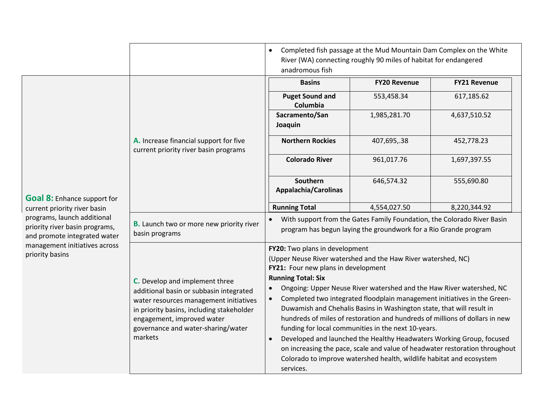|                                                                                                                                                   |                                                                                                                                                                                                                                                 | $\bullet$<br>anadromous fish                                                                                                                                                                               | Completed fish passage at the Mud Mountain Dam Complex on the White<br>River (WA) connecting roughly 90 miles of habitat for endangered                                                                                                                                                                                                                                                                                             |                                                                                                                                                         |
|---------------------------------------------------------------------------------------------------------------------------------------------------|-------------------------------------------------------------------------------------------------------------------------------------------------------------------------------------------------------------------------------------------------|------------------------------------------------------------------------------------------------------------------------------------------------------------------------------------------------------------|-------------------------------------------------------------------------------------------------------------------------------------------------------------------------------------------------------------------------------------------------------------------------------------------------------------------------------------------------------------------------------------------------------------------------------------|---------------------------------------------------------------------------------------------------------------------------------------------------------|
|                                                                                                                                                   |                                                                                                                                                                                                                                                 | <b>Basins</b>                                                                                                                                                                                              | <b>FY20 Revenue</b>                                                                                                                                                                                                                                                                                                                                                                                                                 | <b>FY21 Revenue</b>                                                                                                                                     |
|                                                                                                                                                   |                                                                                                                                                                                                                                                 | <b>Puget Sound and</b><br>Columbia                                                                                                                                                                         | 553,458.34                                                                                                                                                                                                                                                                                                                                                                                                                          | 617,185.62                                                                                                                                              |
|                                                                                                                                                   |                                                                                                                                                                                                                                                 | Sacramento/San<br>Joaquin                                                                                                                                                                                  | 1,985,281.70                                                                                                                                                                                                                                                                                                                                                                                                                        | 4,637,510.52                                                                                                                                            |
|                                                                                                                                                   | A. Increase financial support for five<br>current priority river basin programs                                                                                                                                                                 | <b>Northern Rockies</b>                                                                                                                                                                                    | 407,695,.38                                                                                                                                                                                                                                                                                                                                                                                                                         | 452,778.23                                                                                                                                              |
|                                                                                                                                                   |                                                                                                                                                                                                                                                 | <b>Colorado River</b>                                                                                                                                                                                      | 961,017.76                                                                                                                                                                                                                                                                                                                                                                                                                          | 1,697,397.55                                                                                                                                            |
| <b>Goal 8:</b> Enhance support for                                                                                                                |                                                                                                                                                                                                                                                 | Southern<br>Appalachia/Carolinas                                                                                                                                                                           | 646,574.32                                                                                                                                                                                                                                                                                                                                                                                                                          | 555,690.80                                                                                                                                              |
| current priority river basin                                                                                                                      |                                                                                                                                                                                                                                                 | <b>Running Total</b>                                                                                                                                                                                       | 4,554,027.50                                                                                                                                                                                                                                                                                                                                                                                                                        | 8,220,344.92                                                                                                                                            |
| programs, launch additional<br>priority river basin programs,<br>and promote integrated water<br>management initiatives across<br>priority basins | <b>B.</b> Launch two or more new priority river<br>basin programs                                                                                                                                                                               | With support from the Gates Family Foundation, the Colorado River Basin<br>program has begun laying the groundwork for a Rio Grande program                                                                |                                                                                                                                                                                                                                                                                                                                                                                                                                     |                                                                                                                                                         |
|                                                                                                                                                   | C. Develop and implement three<br>additional basin or subbasin integrated<br>water resources management initiatives<br>in priority basins, including stakeholder<br>engagement, improved water<br>governance and water-sharing/water<br>markets | FY20: Two plans in development<br>(Upper Neuse River watershed and the Haw River watershed, NC)<br>FY21: Four new plans in development<br><b>Running Total: Six</b><br>$\bullet$<br>$\bullet$<br>services. | Ongoing: Upper Neuse River watershed and the Haw River watershed, NC<br>Duwamish and Chehalis Basins in Washington state, that will result in<br>hundreds of miles of restoration and hundreds of millions of dollars in new<br>funding for local communities in the next 10-years.<br>Developed and launched the Healthy Headwaters Working Group, focused<br>Colorado to improve watershed health, wildlife habitat and ecosystem | Completed two integrated floodplain management initiatives in the Green-<br>on increasing the pace, scale and value of headwater restoration throughout |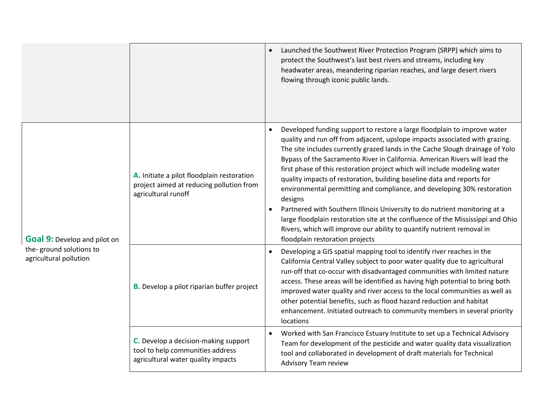|                                                                                          |                                                                                                                | Launched the Southwest River Protection Program (SRPP) which aims to<br>protect the Southwest's last best rivers and streams, including key<br>headwater areas, meandering riparian reaches, and large desert rivers<br>flowing through iconic public lands.                                                                                                                                                                                                                                                                                                                                                                                                                                                                                                                                                                                       |
|------------------------------------------------------------------------------------------|----------------------------------------------------------------------------------------------------------------|----------------------------------------------------------------------------------------------------------------------------------------------------------------------------------------------------------------------------------------------------------------------------------------------------------------------------------------------------------------------------------------------------------------------------------------------------------------------------------------------------------------------------------------------------------------------------------------------------------------------------------------------------------------------------------------------------------------------------------------------------------------------------------------------------------------------------------------------------|
| <b>Goal 9:</b> Develop and pilot on<br>the-ground solutions to<br>agricultural pollution | A. Initiate a pilot floodplain restoration<br>project aimed at reducing pollution from<br>agricultural runoff  | Developed funding support to restore a large floodplain to improve water<br>quality and run off from adjacent, upslope impacts associated with grazing.<br>The site includes currently grazed lands in the Cache Slough drainage of Yolo<br>Bypass of the Sacramento River in California. American Rivers will lead the<br>first phase of this restoration project which will include modeling water<br>quality impacts of restoration, building baseline data and reports for<br>environmental permitting and compliance, and developing 30% restoration<br>designs<br>Partnered with Southern Illinois University to do nutrient monitoring at a<br>large floodplain restoration site at the confluence of the Mississippi and Ohio<br>Rivers, which will improve our ability to quantify nutrient removal in<br>floodplain restoration projects |
|                                                                                          | <b>B.</b> Develop a pilot riparian buffer project                                                              | Developing a GIS spatial mapping tool to identify river reaches in the<br>California Central Valley subject to poor water quality due to agricultural<br>run-off that co-occur with disadvantaged communities with limited nature<br>access. These areas will be identified as having high potential to bring both<br>improved water quality and river access to the local communities as well as<br>other potential benefits, such as flood hazard reduction and habitat<br>enhancement. Initiated outreach to community members in several priority<br>locations                                                                                                                                                                                                                                                                                 |
|                                                                                          | C. Develop a decision-making support<br>tool to help communities address<br>agricultural water quality impacts | Worked with San Francisco Estuary Institute to set up a Technical Advisory<br>$\bullet$<br>Team for development of the pesticide and water quality data visualization<br>tool and collaborated in development of draft materials for Technical<br>Advisory Team review                                                                                                                                                                                                                                                                                                                                                                                                                                                                                                                                                                             |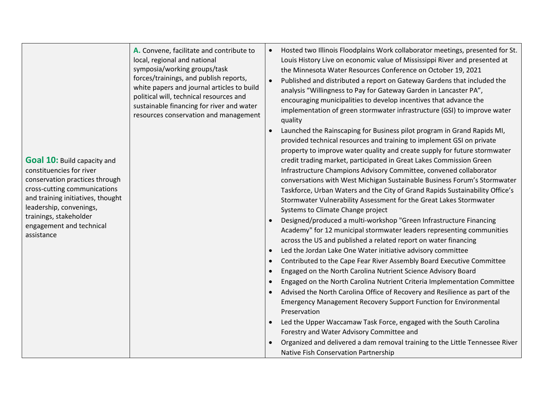**A.** Convene, facilitate and contribute to local, regional and national symposia/working groups/task forces/trainings, and publish reports, white papers and journal articles to build political will, technical resources and sustainable financing for river and water resources conservation and management

**Goal 10:** Build capacity and constituencies for river conservation practices through cross-cutting communications and training initiatives, thought leadership, convenings, trainings, stakeholder engagement and technical assistance

- Hosted two Illinois Floodplains Work collaborator meetings, presented for St. Louis History Live on economic value of Mississippi River and presented at the Minnesota Water Resources Conference on October 19, 2021
- Published and distributed a report on Gateway Gardens that included the analysis "Willingness to Pay for Gateway Garden in Lancaster PA", encouraging municipalities to develop incentives that advance the implementation of green stormwater infrastructure (GSI) to improve water quality
- Launched the Rainscaping for Business pilot program in Grand Rapids MI, provided technical resources and training to implement GSI on private property to improve water quality and create supply for future stormwater credit trading market, participated in Great Lakes Commission Green Infrastructure Champions Advisory Committee, convened collaborator conversations with West Michigan Sustainable Business Forum's Stormwater Taskforce, Urban Waters and the City of Grand Rapids Sustainability Office's Stormwater Vulnerability Assessment for the Great Lakes Stormwater Systems to Climate Change project
- Designed/produced a multi-workshop "Green Infrastructure Financing Academy" for 12 municipal stormwater leaders representing communities across the US and published a related report on water financing
- Led the Jordan Lake One Water initiative advisory committee
- Contributed to the Cape Fear River Assembly Board Executive Committee
- Engaged on the North Carolina Nutrient Science Advisory Board
- Engaged on the North Carolina Nutrient Criteria Implementation Committee
- Advised the North Carolina Office of Recovery and Resilience as part of the Emergency Management Recovery Support Function for Environmental Preservation
- Led the Upper Waccamaw Task Force, engaged with the South Carolina Forestry and Water Advisory Committee and
- Organized and delivered a dam removal training to the Little Tennessee River Native Fish Conservation Partnership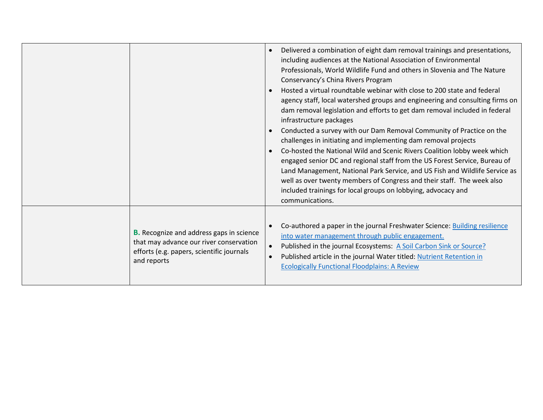|                                                                                                                                                        | Delivered a combination of eight dam removal trainings and presentations,<br>including audiences at the National Association of Environmental<br>Professionals, World Wildlife Fund and others in Slovenia and The Nature<br>Conservancy's China Rivers Program<br>Hosted a virtual roundtable webinar with close to 200 state and federal<br>agency staff, local watershed groups and engineering and consulting firms on<br>dam removal legislation and efforts to get dam removal included in federal<br>infrastructure packages<br>Conducted a survey with our Dam Removal Community of Practice on the<br>challenges in initiating and implementing dam removal projects<br>Co-hosted the National Wild and Scenic Rivers Coalition lobby week which<br>$\bullet$<br>engaged senior DC and regional staff from the US Forest Service, Bureau of<br>Land Management, National Park Service, and US Fish and Wildlife Service as<br>well as over twenty members of Congress and their staff. The week also<br>included trainings for local groups on lobbying, advocacy and<br>communications. |
|--------------------------------------------------------------------------------------------------------------------------------------------------------|---------------------------------------------------------------------------------------------------------------------------------------------------------------------------------------------------------------------------------------------------------------------------------------------------------------------------------------------------------------------------------------------------------------------------------------------------------------------------------------------------------------------------------------------------------------------------------------------------------------------------------------------------------------------------------------------------------------------------------------------------------------------------------------------------------------------------------------------------------------------------------------------------------------------------------------------------------------------------------------------------------------------------------------------------------------------------------------------------|
| <b>B.</b> Recognize and address gaps in science<br>that may advance our river conservation<br>efforts (e.g. papers, scientific journals<br>and reports | Co-authored a paper in the journal Freshwater Science: Building resilience<br>$\bullet$<br>into water management through public engagement.<br>Published in the journal Ecosystems: A Soil Carbon Sink or Source?<br>$\bullet$<br>Published article in the journal Water titled: Nutrient Retention in<br>$\bullet$<br><b>Ecologically Functional Floodplains: A Review</b>                                                                                                                                                                                                                                                                                                                                                                                                                                                                                                                                                                                                                                                                                                                       |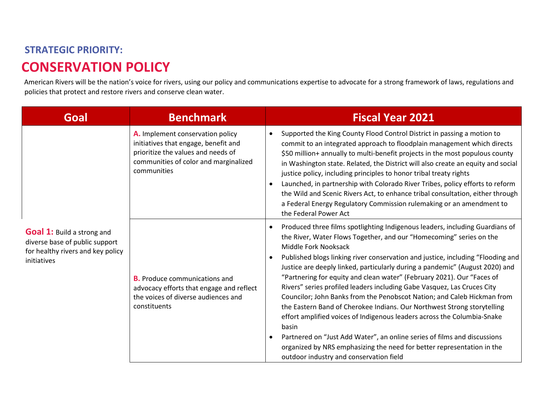### **STRATEGIC PRIORITY: CONSERVATION POLICY**

American Rivers will be the nation's voice for rivers, using our policy and communications expertise to advocate for a strong framework of laws, regulations and policies that protect and restore rivers and conserve clean water.

| Goal                                                                                                                    | <b>Benchmark</b>                                                                                                                                                       | <b>Fiscal Year 2021</b>                                                                                                                                                                                                                                                                                                                                                                                                                                                                                                                                                                                                                                                                                                                                                                                                                                                                                                                                     |
|-------------------------------------------------------------------------------------------------------------------------|------------------------------------------------------------------------------------------------------------------------------------------------------------------------|-------------------------------------------------------------------------------------------------------------------------------------------------------------------------------------------------------------------------------------------------------------------------------------------------------------------------------------------------------------------------------------------------------------------------------------------------------------------------------------------------------------------------------------------------------------------------------------------------------------------------------------------------------------------------------------------------------------------------------------------------------------------------------------------------------------------------------------------------------------------------------------------------------------------------------------------------------------|
|                                                                                                                         | A. Implement conservation policy<br>initiatives that engage, benefit and<br>prioritize the values and needs of<br>communities of color and marginalized<br>communities | Supported the King County Flood Control District in passing a motion to<br>commit to an integrated approach to floodplain management which directs<br>\$50 million+ annually to multi-benefit projects in the most populous county<br>in Washington state. Related, the District will also create an equity and social<br>justice policy, including principles to honor tribal treaty rights<br>Launched, in partnership with Colorado River Tribes, policy efforts to reform<br>the Wild and Scenic Rivers Act, to enhance tribal consultation, either through<br>a Federal Energy Regulatory Commission rulemaking or an amendment to<br>the Federal Power Act                                                                                                                                                                                                                                                                                            |
| <b>Goal 1:</b> Build a strong and<br>diverse base of public support<br>for healthy rivers and key policy<br>initiatives | <b>B.</b> Produce communications and<br>advocacy efforts that engage and reflect<br>the voices of diverse audiences and<br>constituents                                | Produced three films spotlighting Indigenous leaders, including Guardians of<br>$\bullet$<br>the River, Water Flows Together, and our "Homecoming" series on the<br>Middle Fork Nooksack<br>Published blogs linking river conservation and justice, including "Flooding and<br>Justice are deeply linked, particularly during a pandemic" (August 2020) and<br>"Partnering for equity and clean water" (February 2021). Our "Faces of<br>Rivers" series profiled leaders including Gabe Vasquez, Las Cruces City<br>Councilor; John Banks from the Penobscot Nation; and Caleb Hickman from<br>the Eastern Band of Cherokee Indians. Our Northwest Strong storytelling<br>effort amplified voices of Indigenous leaders across the Columbia-Snake<br>basin<br>Partnered on "Just Add Water", an online series of films and discussions<br>organized by NRS emphasizing the need for better representation in the<br>outdoor industry and conservation field |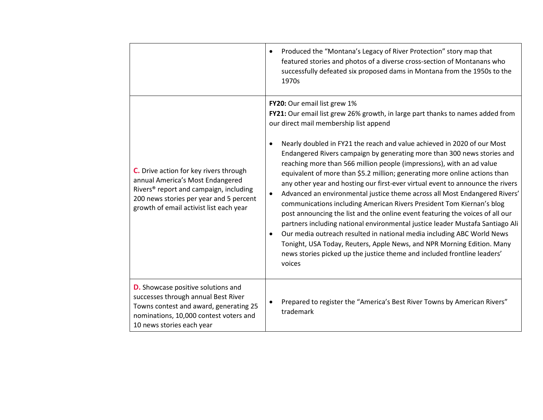|                                                                                                                                                                                                                        | Produced the "Montana's Legacy of River Protection" story map that<br>$\bullet$<br>featured stories and photos of a diverse cross-section of Montanans who<br>successfully defeated six proposed dams in Montana from the 1950s to the<br>1970s                                                                                                                                                                                                                                                                                                                                                                                                                                                                                                                                                                                                                                                                                                                                                                                                                                                                                                                   |
|------------------------------------------------------------------------------------------------------------------------------------------------------------------------------------------------------------------------|-------------------------------------------------------------------------------------------------------------------------------------------------------------------------------------------------------------------------------------------------------------------------------------------------------------------------------------------------------------------------------------------------------------------------------------------------------------------------------------------------------------------------------------------------------------------------------------------------------------------------------------------------------------------------------------------------------------------------------------------------------------------------------------------------------------------------------------------------------------------------------------------------------------------------------------------------------------------------------------------------------------------------------------------------------------------------------------------------------------------------------------------------------------------|
| C. Drive action for key rivers through<br>annual America's Most Endangered<br>Rivers <sup>®</sup> report and campaign, including<br>200 news stories per year and 5 percent<br>growth of email activist list each year | FY20: Our email list grew 1%<br>FY21: Our email list grew 26% growth, in large part thanks to names added from<br>our direct mail membership list append<br>Nearly doubled in FY21 the reach and value achieved in 2020 of our Most<br>$\bullet$<br>Endangered Rivers campaign by generating more than 300 news stories and<br>reaching more than 566 million people (impressions), with an ad value<br>equivalent of more than \$5.2 million; generating more online actions than<br>any other year and hosting our first-ever virtual event to announce the rivers<br>Advanced an environmental justice theme across all Most Endangered Rivers'<br>$\bullet$<br>communications including American Rivers President Tom Kiernan's blog<br>post announcing the list and the online event featuring the voices of all our<br>partners including national environmental justice leader Mustafa Santiago Ali<br>Our media outreach resulted in national media including ABC World News<br>$\bullet$<br>Tonight, USA Today, Reuters, Apple News, and NPR Morning Edition. Many<br>news stories picked up the justice theme and included frontline leaders'<br>voices |
| <b>D.</b> Showcase positive solutions and<br>successes through annual Best River<br>Towns contest and award, generating 25<br>nominations, 10,000 contest voters and<br>10 news stories each year                      | Prepared to register the "America's Best River Towns by American Rivers"<br>$\bullet$<br>trademark                                                                                                                                                                                                                                                                                                                                                                                                                                                                                                                                                                                                                                                                                                                                                                                                                                                                                                                                                                                                                                                                |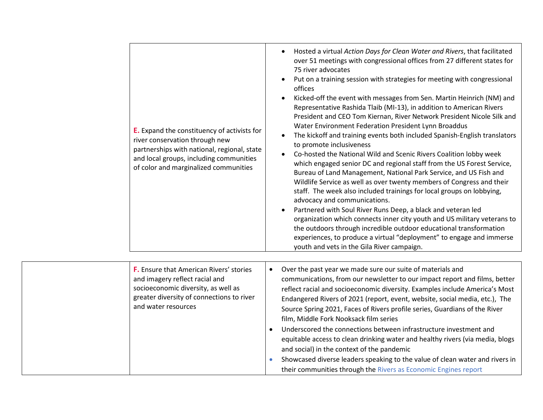| E. Expand the constituency of activists for<br>river conservation through new<br>partnerships with national, regional, state<br>and local groups, including communities<br>of color and marginalized communities | Hosted a virtual Action Days for Clean Water and Rivers, that facilitated<br>over 51 meetings with congressional offices from 27 different states for<br>75 river advocates<br>Put on a training session with strategies for meeting with congressional<br>offices<br>Kicked-off the event with messages from Sen. Martin Heinrich (NM) and<br>$\bullet$<br>Representative Rashida Tlaib (MI-13), in addition to American Rivers<br>President and CEO Tom Kiernan, River Network President Nicole Silk and<br>Water Environment Federation President Lynn Broaddus<br>The kickoff and training events both included Spanish-English translators<br>to promote inclusiveness<br>Co-hosted the National Wild and Scenic Rivers Coalition lobby week<br>$\bullet$<br>which engaged senior DC and regional staff from the US Forest Service,<br>Bureau of Land Management, National Park Service, and US Fish and<br>Wildlife Service as well as over twenty members of Congress and their<br>staff. The week also included trainings for local groups on lobbying,<br>advocacy and communications.<br>Partnered with Soul River Runs Deep, a black and veteran led<br>organization which connects inner city youth and US military veterans to<br>the outdoors through incredible outdoor educational transformation<br>experiences, to produce a virtual "deployment" to engage and immerse<br>youth and vets in the Gila River campaign. |
|------------------------------------------------------------------------------------------------------------------------------------------------------------------------------------------------------------------|-----------------------------------------------------------------------------------------------------------------------------------------------------------------------------------------------------------------------------------------------------------------------------------------------------------------------------------------------------------------------------------------------------------------------------------------------------------------------------------------------------------------------------------------------------------------------------------------------------------------------------------------------------------------------------------------------------------------------------------------------------------------------------------------------------------------------------------------------------------------------------------------------------------------------------------------------------------------------------------------------------------------------------------------------------------------------------------------------------------------------------------------------------------------------------------------------------------------------------------------------------------------------------------------------------------------------------------------------------------------------------------------------------------------------------------------|
| <b>F.</b> Ensure that American Rivers' stories<br>and imagery reflect racial and<br>socioeconomic diversity, as well as<br>greater diversity of connections to river<br>and water resources                      | Over the past year we made sure our suite of materials and<br>$\bullet$<br>communications, from our newsletter to our impact report and films, better<br>reflect racial and socioeconomic diversity. Examples include America's Most<br>Endangered Rivers of 2021 (report, event, website, social media, etc.), The<br>Source Spring 2021, Faces of Rivers profile series, Guardians of the River<br>film, Middle Fork Nooksack film series<br>Underscored the connections between infrastructure investment and<br>$\bullet$<br>equitable access to clean drinking water and healthy rivers (via media, blogs<br>and social) in the context of the pandemic<br>Showcased diverse leaders speaking to the value of clean water and rivers in<br>their communities through the Rivers as Economic Engines report                                                                                                                                                                                                                                                                                                                                                                                                                                                                                                                                                                                                                         |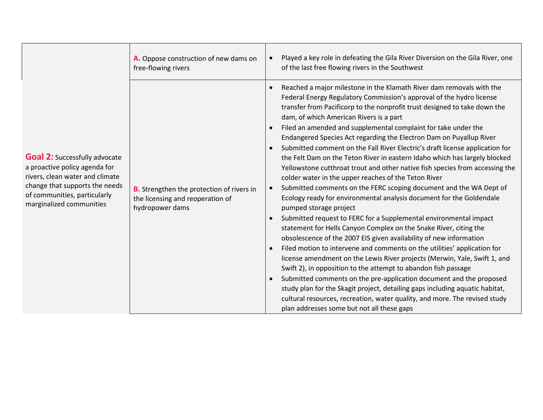|                                                                                                                                                                                                        | A. Oppose construction of new dams on<br>free-flowing rivers                                            | Played a key role in defeating the Gila River Diversion on the Gila River, one<br>of the last free flowing rivers in the Southwest                                                                                                                                                                                                                                                                                                                                                                                                                                                                                                                                                                                                                                                                                                                                                                                                                                                                                                                                                                                                                                                                                                                                                                                                                                                                                                                                                                                                                                                                                        |
|--------------------------------------------------------------------------------------------------------------------------------------------------------------------------------------------------------|---------------------------------------------------------------------------------------------------------|---------------------------------------------------------------------------------------------------------------------------------------------------------------------------------------------------------------------------------------------------------------------------------------------------------------------------------------------------------------------------------------------------------------------------------------------------------------------------------------------------------------------------------------------------------------------------------------------------------------------------------------------------------------------------------------------------------------------------------------------------------------------------------------------------------------------------------------------------------------------------------------------------------------------------------------------------------------------------------------------------------------------------------------------------------------------------------------------------------------------------------------------------------------------------------------------------------------------------------------------------------------------------------------------------------------------------------------------------------------------------------------------------------------------------------------------------------------------------------------------------------------------------------------------------------------------------------------------------------------------------|
| <b>Goal 2:</b> Successfully advocate<br>a proactive policy agenda for<br>rivers, clean water and climate<br>change that supports the needs<br>of communities, particularly<br>marginalized communities | <b>B.</b> Strengthen the protection of rivers in<br>the licensing and reoperation of<br>hydropower dams | Reached a major milestone in the Klamath River dam removals with the<br>Federal Energy Regulatory Commission's approval of the hydro license<br>transfer from Pacificorp to the nonprofit trust designed to take down the<br>dam, of which American Rivers is a part<br>Filed an amended and supplemental complaint for take under the<br>Endangered Species Act regarding the Electron Dam on Puyallup River<br>Submitted comment on the Fall River Electric's draft license application for<br>the Felt Dam on the Teton River in eastern Idaho which has largely blocked<br>Yellowstone cutthroat trout and other native fish species from accessing the<br>colder water in the upper reaches of the Teton River<br>Submitted comments on the FERC scoping document and the WA Dept of<br>Ecology ready for environmental analysis document for the Goldendale<br>pumped storage project<br>Submitted request to FERC for a Supplemental environmental impact<br>statement for Hells Canyon Complex on the Snake River, citing the<br>obsolescence of the 2007 EIS given availability of new information<br>Filed motion to intervene and comments on the utilities' application for<br>license amendment on the Lewis River projects (Merwin, Yale, Swift 1, and<br>Swift 2), in opposition to the attempt to abandon fish passage<br>Submitted comments on the pre-application document and the proposed<br>study plan for the Skagit project, detailing gaps including aquatic habitat,<br>cultural resources, recreation, water quality, and more. The revised study<br>plan addresses some but not all these gaps |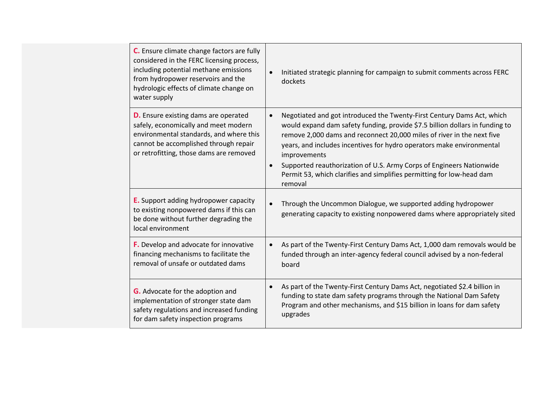| C. Ensure climate change factors are fully<br>considered in the FERC licensing process,<br>including potential methane emissions<br>from hydropower reservoirs and the<br>hydrologic effects of climate change on<br>water supply | Initiated strategic planning for campaign to submit comments across FERC<br>$\bullet$<br>dockets                                                                                                                                                                                                                                                                                                                                                                                                                |
|-----------------------------------------------------------------------------------------------------------------------------------------------------------------------------------------------------------------------------------|-----------------------------------------------------------------------------------------------------------------------------------------------------------------------------------------------------------------------------------------------------------------------------------------------------------------------------------------------------------------------------------------------------------------------------------------------------------------------------------------------------------------|
| <b>D.</b> Ensure existing dams are operated<br>safely, economically and meet modern<br>environmental standards, and where this<br>cannot be accomplished through repair<br>or retrofitting, those dams are removed                | Negotiated and got introduced the Twenty-First Century Dams Act, which<br>$\bullet$<br>would expand dam safety funding, provide \$7.5 billion dollars in funding to<br>remove 2,000 dams and reconnect 20,000 miles of river in the next five<br>years, and includes incentives for hydro operators make environmental<br>improvements<br>Supported reauthorization of U.S. Army Corps of Engineers Nationwide<br>$\bullet$<br>Permit 53, which clarifies and simplifies permitting for low-head dam<br>removal |
| <b>E.</b> Support adding hydropower capacity<br>to existing nonpowered dams if this can<br>be done without further degrading the<br>local environment                                                                             | Through the Uncommon Dialogue, we supported adding hydropower<br>$\bullet$<br>generating capacity to existing nonpowered dams where appropriately sited                                                                                                                                                                                                                                                                                                                                                         |
| F. Develop and advocate for innovative<br>financing mechanisms to facilitate the<br>removal of unsafe or outdated dams                                                                                                            | As part of the Twenty-First Century Dams Act, 1,000 dam removals would be<br>$\bullet$<br>funded through an inter-agency federal council advised by a non-federal<br>board                                                                                                                                                                                                                                                                                                                                      |
| <b>G.</b> Advocate for the adoption and<br>implementation of stronger state dam<br>safety regulations and increased funding<br>for dam safety inspection programs                                                                 | As part of the Twenty-First Century Dams Act, negotiated \$2.4 billion in<br>$\bullet$<br>funding to state dam safety programs through the National Dam Safety<br>Program and other mechanisms, and \$15 billion in loans for dam safety<br>upgrades                                                                                                                                                                                                                                                            |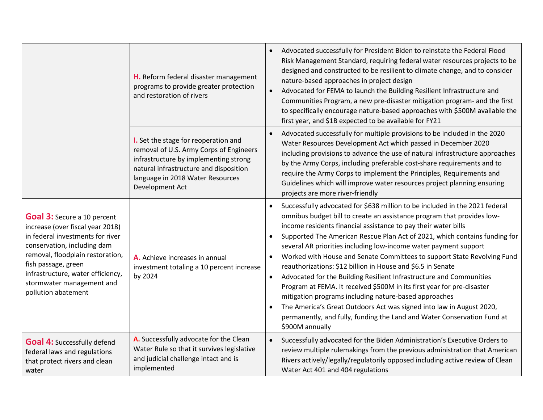|                                                                                                                                                                                                                                                                                               | H. Reform federal disaster management<br>programs to provide greater protection<br>and restoration of rivers                                                                                                              | Advocated successfully for President Biden to reinstate the Federal Flood<br>$\bullet$<br>Risk Management Standard, requiring federal water resources projects to be<br>designed and constructed to be resilient to climate change, and to consider<br>nature-based approaches in project design<br>Advocated for FEMA to launch the Building Resilient Infrastructure and<br>$\bullet$<br>Communities Program, a new pre-disaster mitigation program- and the first<br>to specifically encourage nature-based approaches with \$500M available the<br>first year, and \$1B expected to be available for FY21                                                                                                                                                                                                                                                                                                                              |
|-----------------------------------------------------------------------------------------------------------------------------------------------------------------------------------------------------------------------------------------------------------------------------------------------|---------------------------------------------------------------------------------------------------------------------------------------------------------------------------------------------------------------------------|--------------------------------------------------------------------------------------------------------------------------------------------------------------------------------------------------------------------------------------------------------------------------------------------------------------------------------------------------------------------------------------------------------------------------------------------------------------------------------------------------------------------------------------------------------------------------------------------------------------------------------------------------------------------------------------------------------------------------------------------------------------------------------------------------------------------------------------------------------------------------------------------------------------------------------------------|
|                                                                                                                                                                                                                                                                                               | I. Set the stage for reoperation and<br>removal of U.S. Army Corps of Engineers<br>infrastructure by implementing strong<br>natural infrastructure and disposition<br>language in 2018 Water Resources<br>Development Act | Advocated successfully for multiple provisions to be included in the 2020<br>$\bullet$<br>Water Resources Development Act which passed in December 2020<br>including provisions to advance the use of natural infrastructure approaches<br>by the Army Corps, including preferable cost-share requirements and to<br>require the Army Corps to implement the Principles, Requirements and<br>Guidelines which will improve water resources project planning ensuring<br>projects are more river-friendly                                                                                                                                                                                                                                                                                                                                                                                                                                   |
| <b>Goal 3:</b> Secure a 10 percent<br>increase (over fiscal year 2018)<br>in federal investments for river<br>conservation, including dam<br>removal, floodplain restoration,<br>fish passage, green<br>infrastructure, water efficiency,<br>stormwater management and<br>pollution abatement | A. Achieve increases in annual<br>investment totaling a 10 percent increase<br>by 2024                                                                                                                                    | Successfully advocated for \$638 million to be included in the 2021 federal<br>$\bullet$<br>omnibus budget bill to create an assistance program that provides low-<br>income residents financial assistance to pay their water bills<br>Supported The American Rescue Plan Act of 2021, which contains funding for<br>$\bullet$<br>several AR priorities including low-income water payment support<br>Worked with House and Senate Committees to support State Revolving Fund<br>reauthorizations: \$12 billion in House and \$6.5 in Senate<br>Advocated for the Building Resilient Infrastructure and Communities<br>$\bullet$<br>Program at FEMA. It received \$500M in its first year for pre-disaster<br>mitigation programs including nature-based approaches<br>The America's Great Outdoors Act was signed into law in August 2020,<br>permanently, and fully, funding the Land and Water Conservation Fund at<br>\$900M annually |
| <b>Goal 4: Successfully defend</b><br>federal laws and regulations<br>that protect rivers and clean<br>water                                                                                                                                                                                  | A. Successfully advocate for the Clean<br>Water Rule so that it survives legislative<br>and judicial challenge intact and is<br>implemented                                                                               | Successfully advocated for the Biden Administration's Executive Orders to<br>$\bullet$<br>review multiple rulemakings from the previous administration that American<br>Rivers actively/legally/regulatorily opposed including active review of Clean<br>Water Act 401 and 404 regulations                                                                                                                                                                                                                                                                                                                                                                                                                                                                                                                                                                                                                                                 |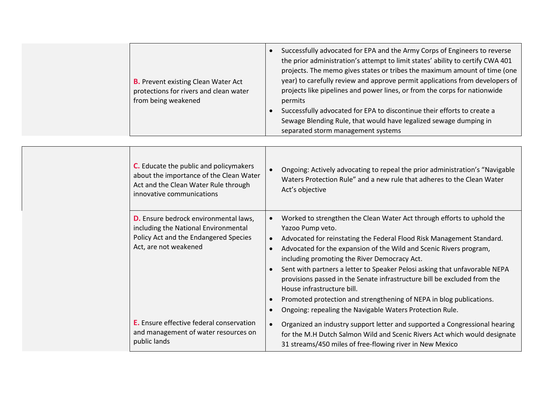|  | <b>B.</b> Prevent existing Clean Water Act<br>protections for rivers and clean water<br>from being weakened                                     | Successfully advocated for EPA and the Army Corps of Engineers to reverse<br>the prior administration's attempt to limit states' ability to certify CWA 401<br>projects. The memo gives states or tribes the maximum amount of time (one<br>year) to carefully review and approve permit applications from developers of<br>projects like pipelines and power lines, or from the corps for nationwide<br>permits<br>Successfully advocated for EPA to discontinue their efforts to create a<br>Sewage Blending Rule, that would have legalized sewage dumping in<br>separated storm management systems                            |
|--|-------------------------------------------------------------------------------------------------------------------------------------------------|-----------------------------------------------------------------------------------------------------------------------------------------------------------------------------------------------------------------------------------------------------------------------------------------------------------------------------------------------------------------------------------------------------------------------------------------------------------------------------------------------------------------------------------------------------------------------------------------------------------------------------------|
|  | C. Educate the public and policymakers<br>about the importance of the Clean Water                                                               | Ongoing: Actively advocating to repeal the prior administration's "Navigable<br>Waters Protection Rule" and a new rule that adheres to the Clean Water                                                                                                                                                                                                                                                                                                                                                                                                                                                                            |
|  | Act and the Clean Water Rule through<br>innovative communications                                                                               | Act's objective                                                                                                                                                                                                                                                                                                                                                                                                                                                                                                                                                                                                                   |
|  | D. Ensure bedrock environmental laws,<br>including the National Environmental<br>Policy Act and the Endangered Species<br>Act, are not weakened | Worked to strengthen the Clean Water Act through efforts to uphold the<br>$\bullet$<br>Yazoo Pump veto.<br>Advocated for reinstating the Federal Flood Risk Management Standard.<br>Advocated for the expansion of the Wild and Scenic Rivers program,<br>including promoting the River Democracy Act.<br>Sent with partners a letter to Speaker Pelosi asking that unfavorable NEPA<br>provisions passed in the Senate infrastructure bill be excluded from the<br>House infrastructure bill.<br>Promoted protection and strengthening of NEPA in blog publications.<br>Ongoing: repealing the Navigable Waters Protection Rule. |
|  | E. Ensure effective federal conservation<br>and management of water resources on<br>public lands                                                | Organized an industry support letter and supported a Congressional hearing<br>for the M.H Dutch Salmon Wild and Scenic Rivers Act which would designate<br>31 streams/450 miles of free-flowing river in New Mexico                                                                                                                                                                                                                                                                                                                                                                                                               |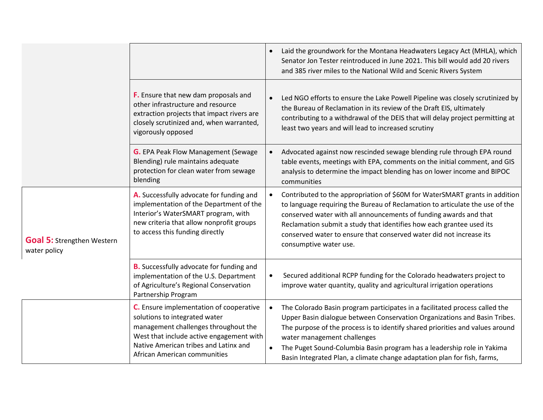|                                                   |                                                                                                                                                                                                                                       | Laid the groundwork for the Montana Headwaters Legacy Act (MHLA), which<br>$\bullet$<br>Senator Jon Tester reintroduced in June 2021. This bill would add 20 rivers<br>and 385 river miles to the National Wild and Scenic Rivers System                                                                                                                                                                                       |
|---------------------------------------------------|---------------------------------------------------------------------------------------------------------------------------------------------------------------------------------------------------------------------------------------|--------------------------------------------------------------------------------------------------------------------------------------------------------------------------------------------------------------------------------------------------------------------------------------------------------------------------------------------------------------------------------------------------------------------------------|
|                                                   | F. Ensure that new dam proposals and<br>other infrastructure and resource<br>extraction projects that impact rivers are<br>closely scrutinized and, when warranted,<br>vigorously opposed                                             | Led NGO efforts to ensure the Lake Powell Pipeline was closely scrutinized by<br>$\bullet$<br>the Bureau of Reclamation in its review of the Draft EIS, ultimately<br>contributing to a withdrawal of the DEIS that will delay project permitting at<br>least two years and will lead to increased scrutiny                                                                                                                    |
|                                                   | <b>G.</b> EPA Peak Flow Management (Sewage<br>Blending) rule maintains adequate<br>protection for clean water from sewage<br>blending                                                                                                 | Advocated against now rescinded sewage blending rule through EPA round<br>table events, meetings with EPA, comments on the initial comment, and GIS<br>analysis to determine the impact blending has on lower income and BIPOC<br>communities                                                                                                                                                                                  |
| <b>Goal 5: Strengthen Western</b><br>water policy | A. Successfully advocate for funding and<br>implementation of the Department of the<br>Interior's WaterSMART program, with<br>new criteria that allow nonprofit groups<br>to access this funding directly                             | Contributed to the appropriation of \$60M for WaterSMART grants in addition<br>to language requiring the Bureau of Reclamation to articulate the use of the<br>conserved water with all announcements of funding awards and that<br>Reclamation submit a study that identifies how each grantee used its<br>conserved water to ensure that conserved water did not increase its<br>consumptive water use.                      |
|                                                   | <b>B.</b> Successfully advocate for funding and<br>implementation of the U.S. Department<br>of Agriculture's Regional Conservation<br>Partnership Program                                                                             | Secured additional RCPP funding for the Colorado headwaters project to<br>$\bullet$<br>improve water quantity, quality and agricultural irrigation operations                                                                                                                                                                                                                                                                  |
|                                                   | C. Ensure implementation of cooperative<br>solutions to integrated water<br>management challenges throughout the<br>West that include active engagement with<br>Native American tribes and Latinx and<br>African American communities | The Colorado Basin program participates in a facilitated process called the<br>Upper Basin dialogue between Conservation Organizations and Basin Tribes.<br>The purpose of the process is to identify shared priorities and values around<br>water management challenges<br>The Puget Sound-Columbia Basin program has a leadership role in Yakima<br>Basin Integrated Plan, a climate change adaptation plan for fish, farms, |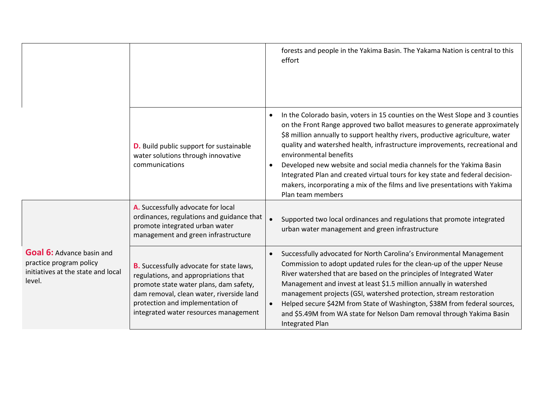|                                                                                                             |                                                                                                                                                                                                                                                            | forests and people in the Yakima Basin. The Yakama Nation is central to this<br>effort                                                                                                                                                                                                                                                                                                                                                                                                                                                                                                                                         |
|-------------------------------------------------------------------------------------------------------------|------------------------------------------------------------------------------------------------------------------------------------------------------------------------------------------------------------------------------------------------------------|--------------------------------------------------------------------------------------------------------------------------------------------------------------------------------------------------------------------------------------------------------------------------------------------------------------------------------------------------------------------------------------------------------------------------------------------------------------------------------------------------------------------------------------------------------------------------------------------------------------------------------|
|                                                                                                             | <b>D.</b> Build public support for sustainable<br>water solutions through innovative<br>communications                                                                                                                                                     | In the Colorado basin, voters in 15 counties on the West Slope and 3 counties<br>on the Front Range approved two ballot measures to generate approximately<br>\$8 million annually to support healthy rivers, productive agriculture, water<br>quality and watershed health, infrastructure improvements, recreational and<br>environmental benefits<br>Developed new website and social media channels for the Yakima Basin<br>$\bullet$<br>Integrated Plan and created virtual tours for key state and federal decision-<br>makers, incorporating a mix of the films and live presentations with Yakima<br>Plan team members |
|                                                                                                             | A. Successfully advocate for local<br>ordinances, regulations and guidance that<br>promote integrated urban water<br>management and green infrastructure                                                                                                   | Supported two local ordinances and regulations that promote integrated<br>urban water management and green infrastructure                                                                                                                                                                                                                                                                                                                                                                                                                                                                                                      |
| <b>Goal 6: Advance basin and</b><br>practice program policy<br>initiatives at the state and local<br>level. | <b>B.</b> Successfully advocate for state laws,<br>regulations, and appropriations that<br>promote state water plans, dam safety,<br>dam removal, clean water, riverside land<br>protection and implementation of<br>integrated water resources management | Successfully advocated for North Carolina's Environmental Management<br>Commission to adopt updated rules for the clean-up of the upper Neuse<br>River watershed that are based on the principles of Integrated Water<br>Management and invest at least \$1.5 million annually in watershed<br>management projects (GSI, watershed protection, stream restoration<br>Helped secure \$42M from State of Washington, \$38M from federal sources,<br>and \$5.49M from WA state for Nelson Dam removal through Yakima Basin<br><b>Integrated Plan</b>                                                                              |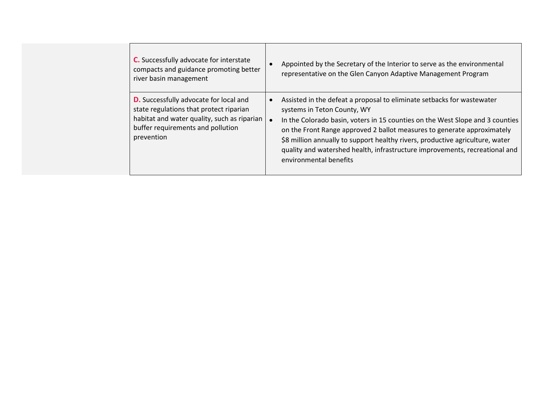| <b>C.</b> Successfully advocate for interstate |
|------------------------------------------------|
| compacts and guidance promoting better         |
| river basin management                         |

**D.** Successfully advocate for local and state regulations that protect riparian habitat and water quality, such as riparian buffer requirements and pollution prevention

- Appointed by the Secretary of the Interior to serve as the environmental representative on the Glen Canyon Adaptive Management Program
- Assisted in the defeat a proposal to eliminate setbacks for wastewater systems in Teton County, WY
- In the Colorado basin, voters in 15 counties on the West Slope and 3 counties on the Front Range approved 2 ballot measures to generate approximately \$8 million annually to support healthy rivers, productive agriculture, water quality and watershed health, infrastructure improvements, recreational and environmental benefits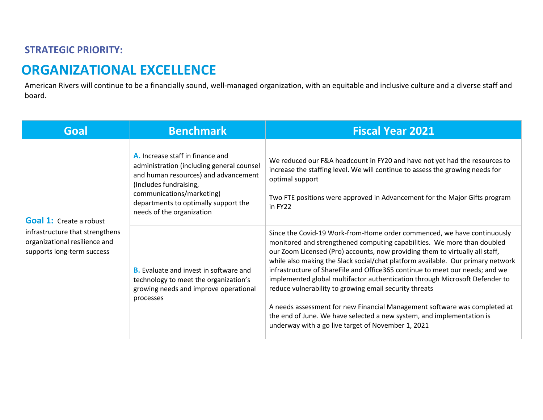#### **STRATEGIC PRIORITY:**

## **ORGANIZATIONAL EXCELLENCE**

American Rivers will continue to be a financially sound, well-managed organization, with an equitable and inclusive culture and a diverse staff and board.

| Goal                                                                                           | <b>Benchmark</b>                                                                                                                                                                                                                                  | <b>Fiscal Year 2021</b>                                                                                                                                                                                                                                                                                                                                                                                                                                                                                                                                                                                                                                                                                                                                    |
|------------------------------------------------------------------------------------------------|---------------------------------------------------------------------------------------------------------------------------------------------------------------------------------------------------------------------------------------------------|------------------------------------------------------------------------------------------------------------------------------------------------------------------------------------------------------------------------------------------------------------------------------------------------------------------------------------------------------------------------------------------------------------------------------------------------------------------------------------------------------------------------------------------------------------------------------------------------------------------------------------------------------------------------------------------------------------------------------------------------------------|
| <b>Goal 1:</b> Create a robust                                                                 | A. Increase staff in finance and<br>administration (including general counsel<br>and human resources) and advancement<br>(Includes fundraising,<br>communications/marketing)<br>departments to optimally support the<br>needs of the organization | We reduced our F&A headcount in FY20 and have not yet had the resources to<br>increase the staffing level. We will continue to assess the growing needs for<br>optimal support<br>Two FTE positions were approved in Advancement for the Major Gifts program<br>in FY22                                                                                                                                                                                                                                                                                                                                                                                                                                                                                    |
| infrastructure that strengthens<br>organizational resilience and<br>supports long-term success | <b>B.</b> Evaluate and invest in software and<br>technology to meet the organization's<br>growing needs and improve operational<br>processes                                                                                                      | Since the Covid-19 Work-from-Home order commenced, we have continuously<br>monitored and strengthened computing capabilities. We more than doubled<br>our Zoom Licensed (Pro) accounts, now providing them to virtually all staff,<br>while also making the Slack social/chat platform available. Our primary network<br>infrastructure of ShareFile and Office365 continue to meet our needs; and we<br>implemented global multifactor authentication through Microsoft Defender to<br>reduce vulnerability to growing email security threats<br>A needs assessment for new Financial Management software was completed at<br>the end of June. We have selected a new system, and implementation is<br>underway with a go live target of November 1, 2021 |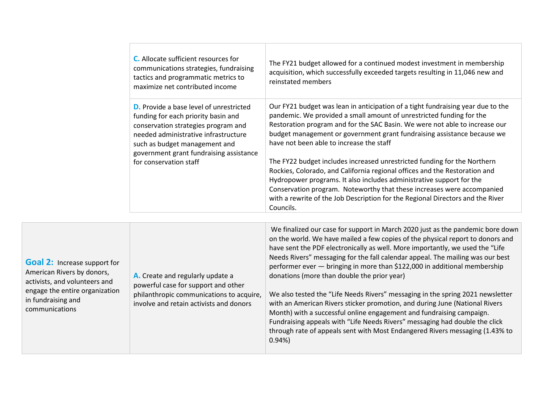|                       | C. Allocate sufficient resources for<br>communications strategies, fundraising<br>tactics and programmatic metrics to<br>maximize net contributed income                                                                                         | The FY21 budget allowed for a continued modest investment in membership<br>acquisition, which successfully exceeded targets resulting in 11,046 new and<br>reinstated members                                                                                                                                                                                                                                                                                   |
|-----------------------|--------------------------------------------------------------------------------------------------------------------------------------------------------------------------------------------------------------------------------------------------|-----------------------------------------------------------------------------------------------------------------------------------------------------------------------------------------------------------------------------------------------------------------------------------------------------------------------------------------------------------------------------------------------------------------------------------------------------------------|
|                       | <b>D.</b> Provide a base level of unrestricted<br>funding for each priority basin and<br>conservation strategies program and<br>needed administrative infrastructure<br>such as budget management and<br>government grant fundraising assistance | Our FY21 budget was lean in anticipation of a tight fundraising year due to the<br>pandemic. We provided a small amount of unrestricted funding for the<br>Restoration program and for the SAC Basin. We were not able to increase our<br>budget management or government grant fundraising assistance because we<br>have not been able to increase the staff                                                                                                   |
|                       | for conservation staff                                                                                                                                                                                                                           | The FY22 budget includes increased unrestricted funding for the Northern<br>Rockies, Colorado, and California regional offices and the Restoration and<br>Hydropower programs. It also includes administrative support for the<br>Conservation program. Noteworthy that these increases were accompanied<br>with a rewrite of the Job Description for the Regional Directors and the River<br>Councils.                                                         |
|                       |                                                                                                                                                                                                                                                  |                                                                                                                                                                                                                                                                                                                                                                                                                                                                 |
| ort for<br>rs,<br>and | A. Create and regularly update a<br>powerful case for support and other                                                                                                                                                                          | We finalized our case for support in March 2020 just as the pandemic bore down<br>on the world. We have mailed a few copies of the physical report to donors and<br>have sent the PDF electronically as well. More importantly, we used the "Life<br>Needs Rivers" messaging for the fall calendar appeal. The mailing was our best<br>performer ever - bringing in more than \$122,000 in additional membership<br>donations (more than double the prior year) |
| zation                | philanthropic communications to acquire,<br>involve and retain activists and donors                                                                                                                                                              | We also tested the "Life Needs Rivers" messaging in the spring 2021 newsletter<br>with an American Rivers sticker promotion, and during June (National Rivers                                                                                                                                                                                                                                                                                                   |

0.94%)

Fundraising appeals with "Life Needs Rivers" messaging had double the click through rate of appeals sent with Most Endangered Rivers messaging (1.43% to

**Goal 2: Increase support** American Rivers by donor activists, and volunteers engage the entire organiz in fundraising and communications

involve and retain activists and donors Month) with a successful online engagement and fundraising campaign.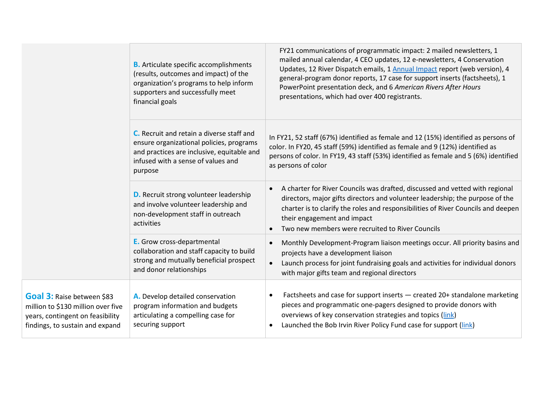|                                                                                                                                         | <b>B.</b> Articulate specific accomplishments<br>(results, outcomes and impact) of the<br>organization's programs to help inform<br>supporters and successfully meet<br>financial goals | FY21 communications of programmatic impact: 2 mailed newsletters, 1<br>mailed annual calendar, 4 CEO updates, 12 e-newsletters, 4 Conservation<br>Updates, 12 River Dispatch emails, 1 Annual Impact report (web version), 4<br>general-program donor reports, 17 case for support inserts (factsheets), 1<br>PowerPoint presentation deck, and 6 American Rivers After Hours<br>presentations, which had over 400 registrants. |
|-----------------------------------------------------------------------------------------------------------------------------------------|-----------------------------------------------------------------------------------------------------------------------------------------------------------------------------------------|---------------------------------------------------------------------------------------------------------------------------------------------------------------------------------------------------------------------------------------------------------------------------------------------------------------------------------------------------------------------------------------------------------------------------------|
|                                                                                                                                         | C. Recruit and retain a diverse staff and<br>ensure organizational policies, programs<br>and practices are inclusive, equitable and<br>infused with a sense of values and<br>purpose    | In FY21, 52 staff (67%) identified as female and 12 (15%) identified as persons of<br>color. In FY20, 45 staff (59%) identified as female and 9 (12%) identified as<br>persons of color. In FY19, 43 staff (53%) identified as female and 5 (6%) identified<br>as persons of color                                                                                                                                              |
|                                                                                                                                         | <b>D.</b> Recruit strong volunteer leadership<br>and involve volunteer leadership and<br>non-development staff in outreach<br>activities                                                | A charter for River Councils was drafted, discussed and vetted with regional<br>$\bullet$<br>directors, major gifts directors and volunteer leadership; the purpose of the<br>charter is to clarify the roles and responsibilities of River Councils and deepen<br>their engagement and impact<br>Two new members were recruited to River Councils                                                                              |
|                                                                                                                                         | E. Grow cross-departmental<br>collaboration and staff capacity to build<br>strong and mutually beneficial prospect<br>and donor relationships                                           | Monthly Development-Program liaison meetings occur. All priority basins and<br>$\bullet$<br>projects have a development liaison<br>Launch process for joint fundraising goals and activities for individual donors<br>with major gifts team and regional directors                                                                                                                                                              |
| Goal 3: Raise between \$83<br>million to \$130 million over five<br>years, contingent on feasibility<br>findings, to sustain and expand | A. Develop detailed conservation<br>program information and budgets<br>articulating a compelling case for<br>securing support                                                           | Factsheets and case for support inserts - created 20+ standalone marketing<br>pieces and programmatic one-pagers designed to provide donors with<br>overviews of key conservation strategies and topics (link)<br>Launched the Bob Irvin River Policy Fund case for support (link)                                                                                                                                              |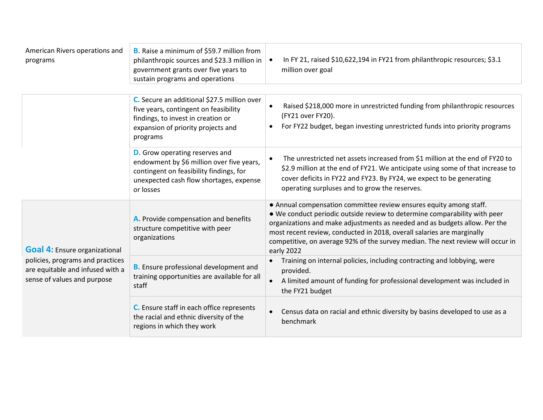| American Rivers operations and<br>programs                                                          | <b>B.</b> Raise a minimum of \$59.7 million from<br>philanthropic sources and \$23.3 million in<br>government grants over five years to<br>sustain programs and operations            | In FY 21, raised \$10,622,194 in FY21 from philanthropic resources; \$3.1<br>million over goal                                                                                                                                                                                                                                                                                                           |
|-----------------------------------------------------------------------------------------------------|---------------------------------------------------------------------------------------------------------------------------------------------------------------------------------------|----------------------------------------------------------------------------------------------------------------------------------------------------------------------------------------------------------------------------------------------------------------------------------------------------------------------------------------------------------------------------------------------------------|
|                                                                                                     | C. Secure an additional \$27.5 million over<br>five years, contingent on feasibility<br>findings, to invest in creation or<br>expansion of priority projects and<br>programs          | Raised \$218,000 more in unrestricted funding from philanthropic resources<br>$\bullet$<br>(FY21 over FY20).<br>For FY22 budget, began investing unrestricted funds into priority programs                                                                                                                                                                                                               |
|                                                                                                     | <b>D.</b> Grow operating reserves and<br>endowment by \$6 million over five years,<br>contingent on feasibility findings, for<br>unexpected cash flow shortages, expense<br>or losses | The unrestricted net assets increased from \$1 million at the end of FY20 to<br>\$2.9 million at the end of FY21. We anticipate using some of that increase to<br>cover deficits in FY22 and FY23. By FY24, we expect to be generating<br>operating surpluses and to grow the reserves.                                                                                                                  |
| <b>Goal 4:</b> Ensure organizational                                                                | A. Provide compensation and benefits<br>structure competitive with peer<br>organizations                                                                                              | • Annual compensation committee review ensures equity among staff.<br>. We conduct periodic outside review to determine comparability with peer<br>organizations and make adjustments as needed and as budgets allow. Per the<br>most recent review, conducted in 2018, overall salaries are marginally<br>competitive, on average 92% of the survey median. The next review will occur in<br>early 2022 |
| policies, programs and practices<br>are equitable and infused with a<br>sense of values and purpose | <b>B.</b> Ensure professional development and<br>training opportunities are available for all<br>staff                                                                                | Training on internal policies, including contracting and lobbying, were<br>provided.<br>A limited amount of funding for professional development was included in<br>the FY21 budget                                                                                                                                                                                                                      |
|                                                                                                     | C. Ensure staff in each office represents<br>the racial and ethnic diversity of the<br>regions in which they work                                                                     | Census data on racial and ethnic diversity by basins developed to use as a<br>$\bullet$<br>benchmark                                                                                                                                                                                                                                                                                                     |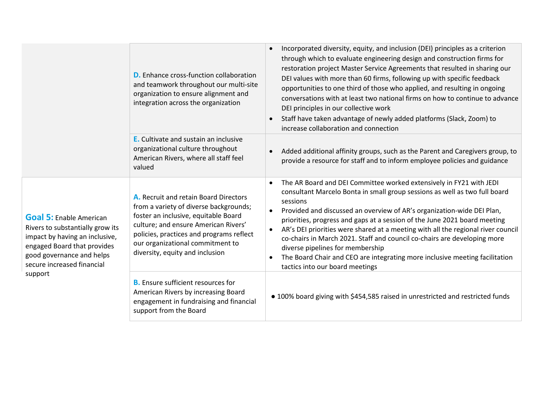|                                                                                                                                                                                                           | <b>D.</b> Enhance cross-function collaboration<br>and teamwork throughout our multi-site<br>organization to ensure alignment and<br>integration across the organization                                                                                                            | Incorporated diversity, equity, and inclusion (DEI) principles as a criterion<br>$\bullet$<br>through which to evaluate engineering design and construction firms for<br>restoration project Master Service Agreements that resulted in sharing our<br>DEI values with more than 60 firms, following up with specific feedback<br>opportunities to one third of those who applied, and resulting in ongoing<br>conversations with at least two national firms on how to continue to advance<br>DEI principles in our collective work<br>Staff have taken advantage of newly added platforms (Slack, Zoom) to<br>$\bullet$<br>increase collaboration and connection                             |
|-----------------------------------------------------------------------------------------------------------------------------------------------------------------------------------------------------------|------------------------------------------------------------------------------------------------------------------------------------------------------------------------------------------------------------------------------------------------------------------------------------|------------------------------------------------------------------------------------------------------------------------------------------------------------------------------------------------------------------------------------------------------------------------------------------------------------------------------------------------------------------------------------------------------------------------------------------------------------------------------------------------------------------------------------------------------------------------------------------------------------------------------------------------------------------------------------------------|
|                                                                                                                                                                                                           | <b>E.</b> Cultivate and sustain an inclusive<br>organizational culture throughout<br>American Rivers, where all staff feel<br>valued                                                                                                                                               | Added additional affinity groups, such as the Parent and Caregivers group, to<br>$\bullet$<br>provide a resource for staff and to inform employee policies and guidance                                                                                                                                                                                                                                                                                                                                                                                                                                                                                                                        |
| <b>Goal 5: Enable American</b><br>Rivers to substantially grow its<br>impact by having an inclusive,<br>engaged Board that provides<br>good governance and helps<br>secure increased financial<br>support | A. Recruit and retain Board Directors<br>from a variety of diverse backgrounds;<br>foster an inclusive, equitable Board<br>culture; and ensure American Rivers'<br>policies, practices and programs reflect<br>our organizational commitment to<br>diversity, equity and inclusion | The AR Board and DEI Committee worked extensively in FY21 with JEDI<br>$\bullet$<br>consultant Marcelo Bonta in small group sessions as well as two full board<br>sessions<br>Provided and discussed an overview of AR's organization-wide DEI Plan,<br>$\bullet$<br>priorities, progress and gaps at a session of the June 2021 board meeting<br>AR's DEI priorities were shared at a meeting with all the regional river council<br>$\bullet$<br>co-chairs in March 2021. Staff and council co-chairs are developing more<br>diverse pipelines for membership<br>The Board Chair and CEO are integrating more inclusive meeting facilitation<br>$\bullet$<br>tactics into our board meetings |
|                                                                                                                                                                                                           | <b>B.</b> Ensure sufficient resources for<br>American Rivers by increasing Board<br>engagement in fundraising and financial<br>support from the Board                                                                                                                              | • 100% board giving with \$454,585 raised in unrestricted and restricted funds                                                                                                                                                                                                                                                                                                                                                                                                                                                                                                                                                                                                                 |